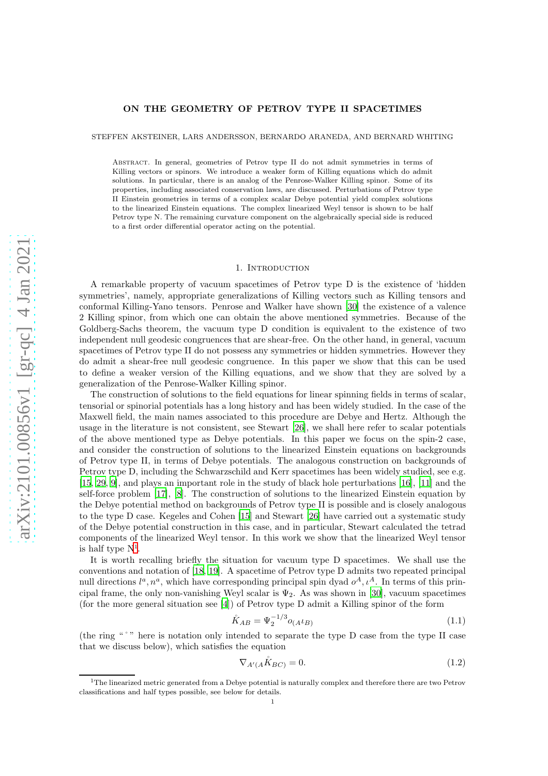# ON THE GEOMETRY OF PETROV TYPE II SPACETIMES

STEFFEN AKSTEINER, LARS ANDERSSON, BERNARDO ARANEDA, AND BERNARD WHITING

Abstract. In general, geometries of Petrov type II do not admit symmetries in terms of Killing vectors or spinors. We introduce a weaker form of Killing equations which do admit solutions. In particular, there is an analog of the Penrose-Walker Killing spinor. Some of its properties, including associated conservation laws, are discussed. Perturbations of Petrov type II Einstein geometries in terms of a complex scalar Debye potential yield complex solutions to the linearized Einstein equations. The complex linearized Weyl tensor is shown to be half Petrov type N. The remaining curvature component on the algebraically special side is reduced to a first order differential operator acting on the potential.

#### 1. INTRODUCTION

A remarkable property of vacuum spacetimes of Petrov type D is the existence of 'hidden symmetries', namely, appropriate generalizations of Killing vectors such as Killing tensors and conformal Killing-Yano tensors. Penrose and Walker have shown [\[30\]](#page-19-0) the existence of a valence 2 Killing spinor, from which one can obtain the above mentioned symmetries. Because of the Goldberg-Sachs theorem, the vacuum type D condition is equivalent to the existence of two independent null geodesic congruences that are shear-free. On the other hand, in general, vacuum spacetimes of Petrov type II do not possess any symmetries or hidden symmetries. However they do admit a shear-free null geodesic congruence. In this paper we show that this can be used to define a weaker version of the Killing equations, and we show that they are solved by a generalization of the Penrose-Walker Killing spinor.

The construction of solutions to the field equations for linear spinning fields in terms of scalar, tensorial or spinorial potentials has a long history and has been widely studied. In the case of the Maxwell field, the main names associated to this procedure are Debye and Hertz. Although the usage in the literature is not consistent, see Stewart [\[26\]](#page-19-1), we shall here refer to scalar potentials of the above mentioned type as Debye potentials. In this paper we focus on the spin-2 case, and consider the construction of solutions to the linearized Einstein equations on backgrounds of Petrov type II, in terms of Debye potentials. The analogous construction on backgrounds of Petrov type D, including the Schwarzschild and Kerr spacetimes has been widely studied, see e.g. [\[15,](#page-19-2) [29,](#page-19-3) [9\]](#page-19-4), and plays an important role in the study of black hole perturbations [\[16\]](#page-19-5), [\[11\]](#page-19-6) and the self-force problem [\[17\]](#page-19-7), [\[8\]](#page-19-8). The construction of solutions to the linearized Einstein equation by the Debye potential method on backgrounds of Petrov type II is possible and is closely analogous to the type D case. Kegeles and Cohen [\[15](#page-19-2)] and Stewart [\[26\]](#page-19-1) have carried out a systematic study of the Debye potential construction in this case, and in particular, Stewart calculated the tetrad components of the linearized Weyl tensor. In this work we show that the linearized Weyl tensor is half type  $N^1$  $N^1$ .

It is worth recalling briefly the situation for vacuum type D spacetimes. We shall use the conventions and notation of [\[18](#page-19-9), [19\]](#page-19-10). A spacetime of Petrov type D admits two repeated principal null directions  $l^a, n^a$ , which have corresponding principal spin dyad  $o^A, \iota^A$ . In terms of this principal frame, the only non-vanishing Weyl scalar is  $\Psi_2$ . As was shown in [\[30\]](#page-19-0), vacuum spacetimes (for the more general situation see [\[4](#page-18-0)]) of Petrov type D admit a Killing spinor of the form

<span id="page-0-1"></span>
$$
\mathring{K}_{AB} = \Psi_2^{-1/3} o_{(A} t_{B)} \tag{1.1}
$$

(the ring "˚" here is notation only intended to separate the type D case from the type II case that we discuss below), which satisfies the equation

<span id="page-0-2"></span>
$$
\nabla_{A'(A}\mathring{K}_{BC)} = 0. \tag{1.2}
$$

<span id="page-0-0"></span> $1$ The linearized metric generated from a Debye potential is naturally complex and therefore there are two Petrov classifications and half types possible, see below for details.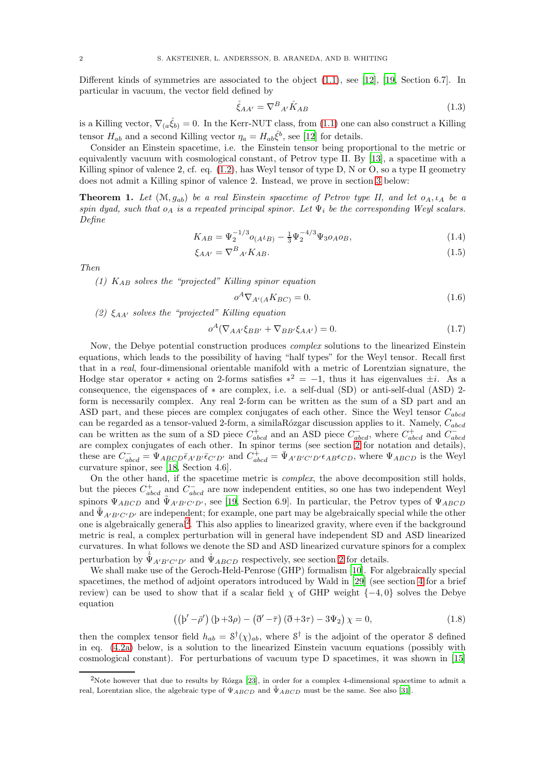Different kinds of symmetries are associated to the object [\(1.1\)](#page-0-1), see [\[12\]](#page-19-11), [\[19,](#page-19-10) Section 6.7]. In particular in vacuum, the vector field defined by

$$
\mathring{\xi}_{AA'} = \nabla^B{}_{A'} \mathring{K}_{AB} \tag{1.3}
$$

is a Killing vector,  $\nabla_{(a}\hat{\xi}_{b)}=0$ . In the Kerr-NUT class, from [\(1.1\)](#page-0-1) one can also construct a Killing tensor  $H_{ab}$  and a second Killing vector  $\eta_a = H_{ab}\dot{\xi}^b$ , see [\[12\]](#page-19-11) for details.

Consider an Einstein spacetime, i.e. the Einstein tensor being proportional to the metric or equivalently vacuum with cosmological constant, of Petrov type II. By [\[13](#page-19-12)], a spacetime with a Killing spinor of valence 2, cf. eq.  $(1.2)$ , has Weyl tensor of type D, N or O, so a type II geometry does not admit a Killing spinor of valence 2. Instead, we prove in section [3](#page-5-0) below:

**Theorem 1.** Let  $(\mathcal{M}, q_{ab})$  be a real Einstein spacetime of Petrov type II, and let  $o_A, \iota_A$  be a spin dyad, such that  $o_A$  is a repeated principal spinor. Let  $\Psi_i$  be the corresponding Weyl scalars. Define

$$
K_{AB} = \Psi_2^{-1/3} o_{(A^t B)} - \frac{1}{3} \Psi_2^{-4/3} \Psi_3 o_A o_B,
$$
\n(1.4)

$$
\xi_{AA'} = \nabla^B{}_{A'} K_{AB}.\tag{1.5}
$$

Then

(1)  $K_{AB}$  solves the "projected" Killing spinor equation

<span id="page-1-3"></span><span id="page-1-2"></span><span id="page-1-1"></span>
$$
o^A \nabla_{A'(A} K_{BC)} = 0. \tag{1.6}
$$

(2)  $\xi_{AA'}$  solves the "projected" Killing equation

$$
o^{A}(\nabla_{AA'}\xi_{BB'} + \nabla_{BB'}\xi_{AA'}) = 0.
$$
\n(1.7)

Now, the Debye potential construction produces complex solutions to the linearized Einstein equations, which leads to the possibility of having "half types" for the Weyl tensor. Recall first that in a real, four-dimensional orientable manifold with a metric of Lorentzian signature, the Hodge star operator \* acting on 2-forms satisfies  $*^2 = -1$ , thus it has eigenvalues  $\pm i$ . As a consequence, the eigenspaces of ∗ are complex, i.e. a self-dual (SD) or anti-self-dual (ASD) 2 form is necessarily complex. Any real 2-form can be written as the sum of a SD part and an ASD part, and these pieces are complex conjugates of each other. Since the Weyl tensor  $C_{abcd}$ can be regarded as a tensor-valued 2-form, a similaRózgar discussion applies to it. Namely,  $C_{abcd}$ can be written as the sum of a SD piece  $C_{abcd}^+$  and an ASD piece  $C_{abcd}^-$ , where  $C_{abcd}^+$  and  $C_{abcd}^$ are complex conjugates of each other. In spinor terms (see section [2](#page-3-0) for notation and details), these are  $C_{abcd}^- = \Psi_{ABCD} \bar{\epsilon}_{A'B'} \bar{\epsilon}_{C'D'}$  and  $C_{abcd}^+ = \bar{\Psi}_{A'B'C'D'} \epsilon_{AB} \epsilon_{CD}$ , where  $\Psi_{ABCD}$  is the Weyl curvature spinor, see [\[18](#page-19-9), Section 4.6].

On the other hand, if the spacetime metric is complex, the above decomposition still holds, but the pieces  $C_{abcd}^+$  and  $C_{abcd}^-$  are now independent entities, so one has two independent Weyl spinors  $\Psi_{ABCD}$  and  $\tilde{\Psi}_{A'B'C'D'}$ , see [\[19](#page-19-10), Section 6.9]. In particular, the Petrov types of  $\Psi_{ABCD}$ and  $\tilde{\Psi}_{A'B'C'D'}$  are independent; for example, one part may be algebraically special while the other one is algebraically general<sup>[2](#page-1-0)</sup>. This also applies to linearized gravity, where even if the background metric is real, a complex perturbation will in general have independent SD and ASD linearized curvatures. In what follows we denote the SD and ASD linearized curvature spinors for a complex perturbation by  $\tilde{\Psi}_{A'B'C'D'}$  and  $\dot{\Psi}_{ABCD}$  respectively, see section [2](#page-3-0) for details.

We shall make use of the Geroch-Held-Penrose (GHP) formalism [\[10](#page-19-13)]. For algebraically special spacetimes, the method of adjoint operators introduced by Wald in [\[29](#page-19-3)] (see section [4](#page-10-0) for a brief review) can be used to show that if a scalar field  $\chi$  of GHP weight  $\{-4,0\}$  solves the Debye equation

$$
\left(\left(\mathbf{b}' - \bar{\rho}'\right)\left(\mathbf{b} + 3\rho\right) - \left(\eth' - \bar{\tau}\right)\left(\eth + 3\tau\right) - 3\Psi_2\right)\chi = 0,\tag{1.8}
$$

then the complex tensor field  $h_{ab} = \mathcal{S}^{\dagger}(\chi)_{ab}$ , where  $\mathcal{S}^{\dagger}$  is the adjoint of the operator S defined in eq. [\(4.2a\)](#page-11-0) below, is a solution to the linearized Einstein vacuum equations (possibly with cosmological constant). For perturbations of vacuum type D spacetimes, it was shown in [\[15\]](#page-19-2)

<span id="page-1-0"></span><sup>&</sup>lt;sup>2</sup>Note however that due to results by Rózga [\[23\]](#page-19-14), in order for a complex 4-dimensional spacetime to admit a real, Lorentzian slice, the algebraic type of  $\Psi_{ABCD}$  and  $\tilde{\Psi}_{ABCD}$  must be the same. See also [\[31](#page-19-15)].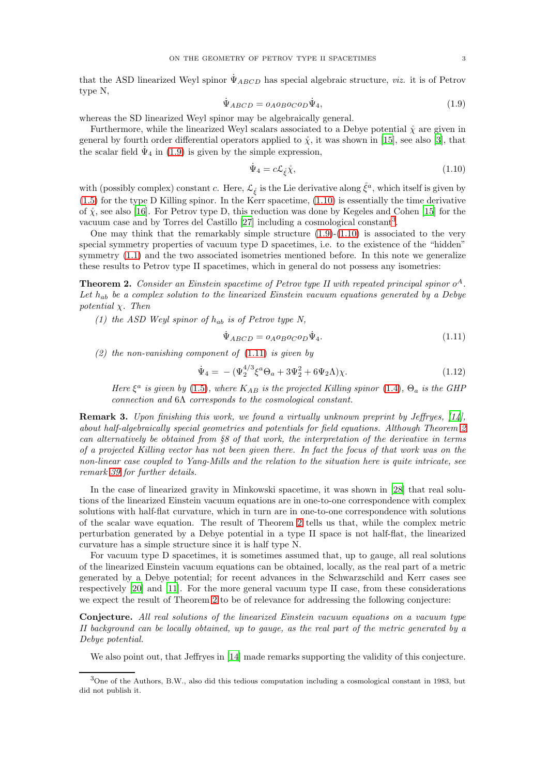<span id="page-2-0"></span>
$$
\dot{\Psi}_{ABCD} = o_A o_B o_C o_D \dot{\Psi}_4,\tag{1.9}
$$

whereas the SD linearized Weyl spinor may be algebraically general.

Furthermore, while the linearized Weyl scalars associated to a Debye potential  $\hat{\chi}$  are given in general by fourth order differential operators applied to  $\hat{\chi}$ , it was shown in [\[15](#page-19-2)], see also [\[3\]](#page-18-1), that the scalar field  $\Psi_4$  in [\(1.9\)](#page-2-0) is given by the simple expression,

<span id="page-2-1"></span>
$$
\dot{\Psi}_4 = c\mathcal{L}_{\xi}\mathring{\chi},\tag{1.10}
$$

with (possibly complex) constant c. Here,  $\mathcal{L}_{\xi}$  is the Lie derivative along  $\dot{\xi}^a$ , which itself is given by  $(1.5)$  for the type D Killing spinor. In the Kerr spacetime,  $(1.10)$  is essentially the time derivative of  $\hat{\chi}$ , see also [\[16\]](#page-19-5). For Petrov type D, this reduction was done by Kegeles and Cohen [\[15\]](#page-19-2) for the vacuum case and by Torres del Castillo [\[27\]](#page-19-16) including a cosmological constant<sup>[3](#page-2-2)</sup>.

One may think that the remarkably simple structure  $(1.9)-(1.10)$  $(1.9)-(1.10)$  is associated to the very special symmetry properties of vacuum type D spacetimes, i.e. to the existence of the "hidden" symmetry  $(1.1)$  and the two associated isometries mentioned before. In this note we generalize these results to Petrov type II spacetimes, which in general do not possess any isometries:

<span id="page-2-4"></span>**Theorem 2.** Consider an Einstein spacetime of Petrov type II with repeated principal spinor  $o^A$ . Let  $h_{ab}$  be a complex solution to the linearized Einstein vacuum equations generated by a Debye potential  $\chi$ . Then

(1) the ASD Weyl spinor of  $h_{ab}$  is of Petrov type N,

<span id="page-2-3"></span>
$$
\dot{\Psi}_{ABCD} = o_A o_B o_C o_D \dot{\Psi}_4.
$$
\n(1.11)

(2) the non-vanishing component of  $(1.11)$  is given by

$$
\dot{\Psi}_4 = -(\Psi_2^{4/3}\xi^a\Theta_a + 3\Psi_2^2 + 6\Psi_2\Lambda)\chi.
$$
\n(1.12)

Here  $\xi^a$  is given by [\(1.5\)](#page-1-1), where  $K_{AB}$  is the projected Killing spinor [\(1.4\)](#page-1-2),  $\Theta_a$  is the GHP connection and 6Λ corresponds to the cosmological constant.

Remark 3. Upon finishing this work, we found a virtually unknown preprint by Jeffryes, [\[14](#page-19-17)], about half-algebraically special geometries and potentials for field equations. Although Theorem [2](#page-2-4) can alternatively be obtained from §8 of that work, the interpretation of the derivative in terms of a projected Killing vector has not been given there. In fact the focus of that work was on the non-linear case coupled to Yang-Mills and the relation to the situation here is quite intricate, see remark [39](#page-17-0) for further details.

In the case of linearized gravity in Minkowski spacetime, it was shown in [\[28](#page-19-18)] that real solutions of the linearized Einstein vacuum equations are in one-to-one correspondence with complex solutions with half-flat curvature, which in turn are in one-to-one correspondence with solutions of the scalar wave equation. The result of Theorem [2](#page-2-4) tells us that, while the complex metric perturbation generated by a Debye potential in a type II space is not half-flat, the linearized curvature has a simple structure since it is half type N.

For vacuum type D spacetimes, it is sometimes assumed that, up to gauge, all real solutions of the linearized Einstein vacuum equations can be obtained, locally, as the real part of a metric generated by a Debye potential; for recent advances in the Schwarzschild and Kerr cases see respectively [\[20\]](#page-19-19) and [\[11\]](#page-19-6). For the more general vacuum type II case, from these considerations we expect the result of Theorem [2](#page-2-4) to be of relevance for addressing the following conjecture:

Conjecture. All real solutions of the linearized Einstein vacuum equations on a vacuum type II background can be locally obtained, up to gauge, as the real part of the metric generated by a Debye potential.

We also point out, that Jeffryes in [\[14](#page-19-17)] made remarks supporting the validity of this conjecture.

<span id="page-2-2"></span><sup>3</sup>One of the Authors, B.W., also did this tedious computation including a cosmological constant in 1983, but did not publish it.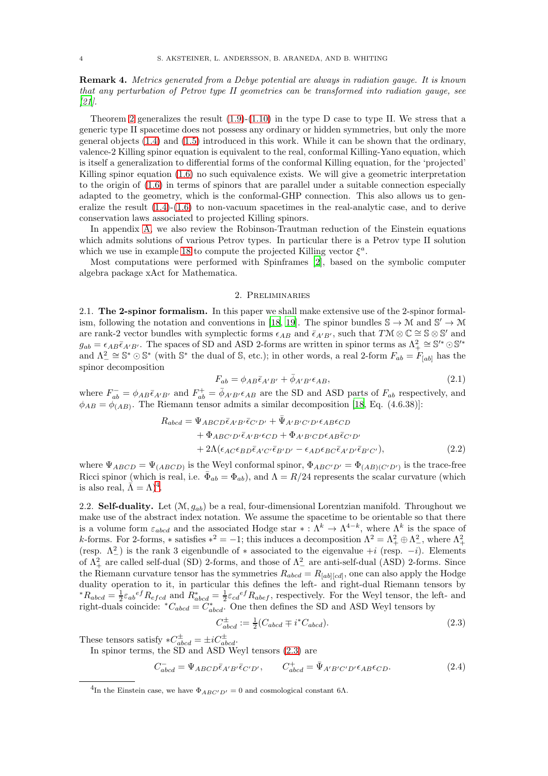Remark 4. Metrics generated from a Debye potential are always in radiation gauge. It is known that any perturbation of Petrov type II geometries can be transformed into radiation gauge, see  $|21|$ .

Theorem [2](#page-2-4) generalizes the result  $(1.9)-(1.10)$  $(1.9)-(1.10)$  in the type D case to type II. We stress that a generic type II spacetime does not possess any ordinary or hidden symmetries, but only the more general objects [\(1.4\)](#page-1-2) and [\(1.5\)](#page-1-1) introduced in this work. While it can be shown that the ordinary, valence-2 Killing spinor equation is equivalent to the real, conformal Killing-Yano equation, which is itself a generalization to differential forms of the conformal Killing equation, for the 'projected' Killing spinor equation [\(1.6\)](#page-1-3) no such equivalence exists. We will give a geometric interpretation to the origin of [\(1.6\)](#page-1-3) in terms of spinors that are parallel under a suitable connection especially adapted to the geometry, which is the conformal-GHP connection. This also allows us to generalize the result  $(1.4)-(1.6)$  $(1.4)-(1.6)$  to non-vacuum spacetimes in the real-analytic case, and to derive conservation laws associated to projected Killing spinors.

In appendix [A,](#page-18-2) we also review the Robinson-Trautman reduction of the Einstein equations which admits solutions of various Petrov types. In particular there is a Petrov type II solution which we use in example [18](#page-8-0) to compute the projected Killing vector  $\xi^a$ .

<span id="page-3-0"></span>Most computations were performed with Spinframes [\[2\]](#page-18-3), based on the symbolic computer algebra package xAct for Mathematica.

### 2. Preliminaries

2.1. The 2-spinor formalism. In this paper we shall make extensive use of the 2-spinor formal-ism, following the notation and conventions in [\[18](#page-19-9), [19\]](#page-19-10). The spinor bundles  $\mathbb{S} \to \mathcal{M}$  and  $\mathbb{S}' \to \mathcal{M}$ are rank-2 vector bundles with symplectic forms  $\epsilon_{AB}$  and  $\bar{\epsilon}_{A'B'}$ , such that  $T\mathcal{M}\otimes\mathbb{C}\cong \mathbb{S}\otimes\mathbb{S}'$  and  $g_{ab} = \epsilon_{AB} \bar{\epsilon}_{A'B'}$ . The spaces of SD and ASD 2-forms are written in spinor terms as  $\Lambda^2_+ \cong \mathbb{S}'^* \odot \mathbb{S}'^*$ and  $\Lambda^2_{-} \cong \mathbb{S}^* \odot \mathbb{S}^*$  (with  $\mathbb{S}^*$  the dual of  $\mathbb{S}$ , etc.); in other words, a real 2-form  $F_{ab} = F_{[ab]}$  has the spinor decomposition

<span id="page-3-4"></span><span id="page-3-3"></span>
$$
F_{ab} = \phi_{AB}\bar{\epsilon}_{A'B'} + \bar{\phi}_{A'B'}\epsilon_{AB},\tag{2.1}
$$

where  $F_{ab}^- = \phi_{AB} \bar{\epsilon}_{A'B'}$  and  $F_{ab}^+ = \bar{\phi}_{A'B'} \epsilon_{AB}$  are the SD and ASD parts of  $F_{ab}$  respectively, and  $\phi_{AB} = \phi_{(AB)}$ . The Riemann tensor admits a similar decomposition [\[18](#page-19-9), Eq. (4.6.38)]:

$$
R_{abcd} = \Psi_{ABCD}\bar{\epsilon}_{A'B'}\bar{\epsilon}_{C'D'} + \bar{\Psi}_{A'B'C'D'}\epsilon_{AB}\epsilon_{CD}
$$
  
+ 
$$
\Phi_{ABC'D'}\bar{\epsilon}_{A'B'}\epsilon_{CD} + \Phi_{A'B'CD}\epsilon_{AB}\bar{\epsilon}_{C'D'}
$$
  
+ 
$$
2\Lambda(\epsilon_{AC}\epsilon_{BD}\bar{\epsilon}_{A'C'}\bar{\epsilon}_{B'D'} - \epsilon_{AD}\epsilon_{BC}\bar{\epsilon}_{A'D'}\bar{\epsilon}_{B'C'})
$$
, (2.2)

where  $\Psi_{ABCD} = \Psi_{(ABCD)}$  is the Weyl conformal spinor,  $\Phi_{ABC'D'} = \Phi_{(AB)(C'D')}$  is the trace-free Ricci spinor (which is real, i.e.  $\bar{\Phi}_{ab} = \Phi_{ab}$ ), and  $\Lambda = R/24$  represents the scalar curvature (which is also real,  $\vec{\Lambda} = \Lambda$ <sup>[4](#page-3-1)</sup>.

2.2. Self-duality. Let  $(\mathcal{M}, q_{ab})$  be a real, four-dimensional Lorentzian manifold. Throughout we make use of the abstract index notation. We assume the spacetime to be orientable so that there is a volume form  $\varepsilon_{abcd}$  and the associated Hodge star  $* : \Lambda^k \to \Lambda^{4-k}$ , where  $\Lambda^k$  is the space of k-forms. For 2-forms, \* satisfies  $*^2 = -1$ ; this induces a decomposition  $\Lambda^2 = \Lambda^2 + \Lambda^2$ , where  $\Lambda^2 + \Lambda^2$ (resp.  $\Lambda^2$ ) is the rank 3 eigenbundle of \* associated to the eigenvalue +i (resp. -i). Elements of  $\Lambda^2_+$  are called self-dual (SD) 2-forms, and those of  $\Lambda^2_-$  are anti-self-dual (ASD) 2-forms. Since the Riemann curvature tensor has the symmetries  $R_{abcd} = R_{[ab][cd]}$ , one can also apply the Hodge duality operation to it, in particular this defines the left- and right-dual Riemann tensors by \* $R_{abcd} = \frac{1}{2} \varepsilon_{ab}{}^{ef} R_{efcd}$  and  $R^*_{abcd} = \frac{1}{2} \varepsilon_{cd}{}^{ef} R_{abef}$ , respectively. For the Weyl tensor, the left- and right-duals coincide:  $^*C_{abcd} = C^*_{abcd}$ . One then defines the SD and ASD Weyl tensors by

<span id="page-3-2"></span>
$$
C_{abcd}^{\pm} := \frac{1}{2} (C_{abcd} \mp i^* C_{abcd}). \tag{2.3}
$$

These tensors satisfy  $*C^{\pm}_{abcd} = \pm i C^{\pm}_{abcd}.$ 

In spinor terms, the SD and ASD Weyl tensors [\(2.3\)](#page-3-2) are

$$
C_{abcd}^- = \Psi_{ABCD} \bar{\epsilon}_{A'B'} \bar{\epsilon}_{C'D'}, \qquad C_{abcd}^+ = \bar{\Psi}_{A'B'C'D'} \epsilon_{AB} \epsilon_{CD}. \tag{2.4}
$$

<span id="page-3-1"></span><sup>&</sup>lt;sup>4</sup>In the Einstein case, we have  $\Phi_{ABC'D'} = 0$  and cosmological constant 6 $\Lambda$ .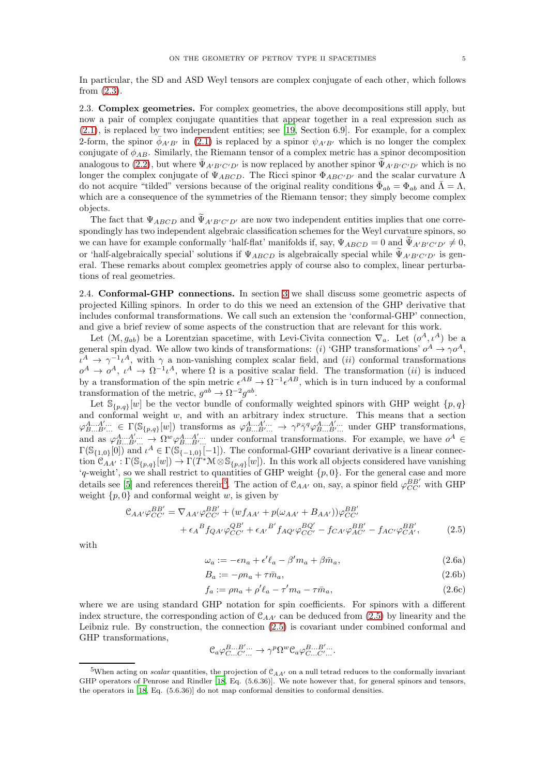In particular, the SD and ASD Weyl tensors are complex conjugate of each other, which follows from [\(2.3\)](#page-3-2).

2.3. Complex geometries. For complex geometries, the above decompositions still apply, but now a pair of complex conjugate quantities that appear together in a real expression such as [\(2.1\)](#page-3-3), is replaced by two independent entities; see [\[19](#page-19-10), Section 6.9]. For example, for a complex 2-form, the spinor  $\bar{\phi}_{A'B'}$  in [\(2.1\)](#page-3-3) is replaced by a spinor  $\psi_{A'B'}$  which is no longer the complex conjugate of  $\phi_{AB}$ . Similarly, the Riemann tensor of a complex metric has a spinor decomposition analogous to [\(2.2\)](#page-3-4), but where  $\bar{\Psi}_{A'B'C'D'}$  is now replaced by another spinor  $\tilde{\Psi}_{A'B'C'D'}$  which is no longer the complex conjugate of  $\Psi_{ABCD}$ . The Ricci spinor  $\Phi_{ABC'D'}$  and the scalar curvature  $\Lambda$ do not acquire "tilded" versions because of the original reality conditions  $\bar{\Phi}_{ab} = \Phi_{ab}$  and  $\bar{\Lambda} = \Lambda$ , which are a consequence of the symmetries of the Riemann tensor; they simply become complex objects.

The fact that  $\Psi_{ABCD}$  and  $\Psi_{A'B'C'D'}$  are now two independent entities implies that one correspondingly has two independent algebraic classification schemes for the Weyl curvature spinors, so we can have for example conformally 'half-flat' manifolds if, say,  $\Psi_{ABCD} = 0$  and  $\tilde{\Psi}_{A'B'C'D'} \neq 0$ , or 'half-algebraically special' solutions if  $\Psi_{ABCD}$  is algebraically special while  $\widetilde{\Psi}_{A'B'C'D'}$  is general. These remarks about complex geometries apply of course also to complex, linear perturbations of real geometries.

2.4. Conformal-GHP connections. In section [3](#page-5-0) we shall discuss some geometric aspects of projected Killing spinors. In order to do this we need an extension of the GHP derivative that includes conformal transformations. We call such an extension the 'conformal-GHP' connection, and give a brief review of some aspects of the construction that are relevant for this work.

Let  $(\mathcal{M}, g_{ab})$  be a Lorentzian spacetime, with Levi-Civita connection  $\nabla_a$ . Let  $(o^A, \iota^A)$  be a general spin dyad. We allow two kinds of transformations: (i) 'GHP transformations'  $o^A \to \gamma o^A$ ,  $u^A \to \gamma^{-1} u^A$ , with  $\gamma$  a non-vanishing complex scalar field, and (ii) conformal transformations  $o^A \to o^A$ ,  $\iota^A \to \Omega^{-1} \iota^A$ , where  $\Omega$  is a positive scalar field. The transformation (ii) is induced by a transformation of the spin metric  $\epsilon^{AB} \to \Omega^{-1} \epsilon^{AB}$ , which is in turn induced by a conformal transformation of the metric,  $g^{ab} \to \Omega^{-2} g^{ab}$ .

Let  $\mathbb{S}_{\{p,q\}}[w]$  be the vector bundle of conformally weighted spinors with GHP weight  $\{p,q\}$ and conformal weight  $w$ , and with an arbitrary index structure. This means that a section  $\varphi_{B\dots B'\dots}^{A\dots A'\dots} \in \Gamma(\mathbb{S}_{\{p,q\}}[w])$  transforms as  $\varphi_{B\dots B'\dots}^{A\dots A'\dots} \to \gamma^p \bar{\gamma}^q \varphi_{B\dots B'\dots}^{A\dots A'\dots}$  under GHP transformations, and as  $\varphi_{B...B}^{A...A'...} \rightarrow \Omega^{w} \varphi_{B...B'...}^{A...A'...}$  under conformal transformations. For example, we have  $o^{A} \in$  $\Gamma(\mathbb{S}_{\{1,0\}}[0])$  and  $\iota^A \in \Gamma(\mathbb{S}_{\{-1,0\}}[-1])$ . The conformal-GHP covariant derivative is a linear connection  $\mathfrak{C}_{AA'} : \Gamma(\mathbb{S}_{\{p,q\}}[w]) \to \Gamma(T^*\mathbb{M} \otimes \mathbb{S}_{\{p,q\}}[w])$ . In this work all objects considered have vanishing  $'q$ -weight', so we shall restrict to quantities of GHP weight  $\{p, 0\}$ . For the general case and more details see [\[5\]](#page-18-4) and references therein<sup>[5](#page-4-0)</sup>. The action of  $\mathcal{C}_{AA'}$  on, say, a spinor field  $\varphi_{CC'}^{BB'}$  with GHP weight  $\{p, 0\}$  and conformal weight w, is given by

$$
\mathcal{C}_{AA'}\varphi_{CC'}^{BB'} = \nabla_{AA'}\varphi_{CC'}^{BB'} + (wf_{AA'} + p(\omega_{AA'} + B_{AA'}))\varphi_{CC'}^{BB'} \n+ \epsilon_A{}^B f_{QA'}\varphi_{CC'}^{QB'} + \epsilon_{A'}{}^{B'} f_{AQ'}\varphi_{CC'}^{BQ'} - f_{CA'}\varphi_{AC'}^{BB'} - f_{AC'}\varphi_{CA'}^{BB'},
$$
\n(2.5)

with

<span id="page-4-1"></span>
$$
\omega_a := -\epsilon n_a + \epsilon' \ell_a - \beta' m_a + \beta \bar{m}_a,\tag{2.6a}
$$

$$
B_a := -\rho n_a + \tau \bar{m}_a,\tag{2.6b}
$$

<span id="page-4-2"></span>
$$
f_a := \rho n_a + \rho' \ell_a - \tau' m_a - \tau \bar{m}_a,\tag{2.6c}
$$

where we are using standard GHP notation for spin coefficients. For spinors with a different index structure, the corresponding action of  $\mathcal{C}_{AA'}$  can be deduced from [\(2.5\)](#page-4-1) by linearity and the Leibniz rule. By construction, the connection [\(2.5\)](#page-4-1) is covariant under combined conformal and GHP transformations,

$$
\mathcal{C}_a \varphi_{C...C'}^{B...B'...} \to \gamma^p \Omega^w \mathcal{C}_a \varphi_{C...C'}^{B...B'...}
$$

<span id="page-4-0"></span><sup>&</sup>lt;sup>5</sup>When acting on *scalar* quantities, the projection of  $C_{AA'}$  on a null tetrad reduces to the conformally invariant GHP operators of Penrose and Rindler [\[18](#page-19-9), Eq. (5.6.36)]. We note however that, for general spinors and tensors, the operators in [\[18,](#page-19-9) Eq. (5.6.36)] do not map conformal densities to conformal densities.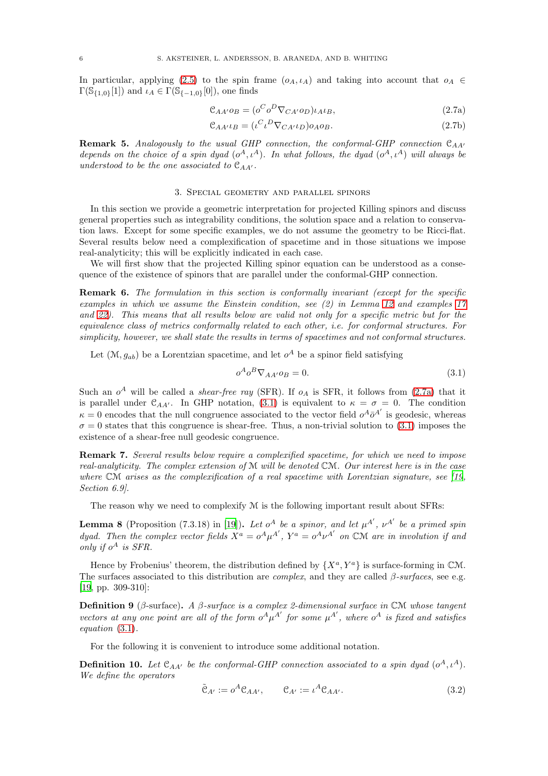In particular, applying [\(2.5\)](#page-4-1) to the spin frame  $(o_A, \iota_A)$  and taking into account that  $o_A \in$  $\Gamma(\mathbb{S}_{\{1,0\}}[1])$  and  $\iota_A \in \Gamma(\mathbb{S}_{\{-1,0\}}[0])$ , one finds

<span id="page-5-1"></span>
$$
\mathcal{C}_{AA'}o_B = (o^C o^D \nabla_{CA'} o_D) \iota_A \iota_B,\tag{2.7a}
$$

<span id="page-5-5"></span>
$$
\mathcal{C}_{AA'}\iota_B = (\iota^C \iota^D \nabla_{CA'} \iota_D) o_A o_B. \tag{2.7b}
$$

<span id="page-5-4"></span>**Remark 5.** Analogously to the usual GHP connection, the conformal-GHP connection  $C_{AA'}$ depends on the choice of a spin dyad  $(o^A, \iota^A)$ . In what follows, the dyad  $(o^A, \iota^A)$  will always be understood to be the one associated to  $\mathfrak{C}_{AA'}$ .

### 3. Special geometry and parallel spinors

<span id="page-5-0"></span>In this section we provide a geometric interpretation for projected Killing spinors and discuss general properties such as integrability conditions, the solution space and a relation to conservation laws. Except for some specific examples, we do not assume the geometry to be Ricci-flat. Several results below need a complexification of spacetime and in those situations we impose real-analyticity; this will be explicitly indicated in each case.

We will first show that the projected Killing spinor equation can be understood as a consequence of the existence of spinors that are parallel under the conformal-GHP connection.

Remark 6. The formulation in this section is conformally invariant (except for the specific examples in which we assume the Einstein condition, see (2) in Lemma [12](#page-6-0) and examples [17](#page-8-1) and [22\)](#page-10-1). This means that all results below are valid not only for a specific metric but for the equivalence class of metrics conformally related to each other, i.e. for conformal structures. For simplicity, however, we shall state the results in terms of spacetimes and not conformal structures.

Let  $(\mathcal{M}, g_{ab})$  be a Lorentzian spacetime, and let  $o^A$  be a spinor field satisfying

<span id="page-5-2"></span>
$$
o^A o^B \nabla_{AA'} o_B = 0. \tag{3.1}
$$

Such an  $o^A$  will be called a *shear-free ray* (SFR). If  $o_A$  is SFR, it follows from [\(2.7a\)](#page-5-1) that it is parallel under  $\mathcal{C}_{AA'}$ . In GHP notation, [\(3.1\)](#page-5-2) is equivalent to  $\kappa = \sigma = 0$ . The condition  $\kappa = 0$  encodes that the null congruence associated to the vector field  $o^A \bar{o}^{A'}$  is geodesic, whereas  $\sigma = 0$  states that this congruence is shear-free. Thus, a non-trivial solution to [\(3.1\)](#page-5-2) imposes the existence of a shear-free null geodesic congruence.

Remark 7. Several results below require a complexified spacetime, for which we need to impose real-analyticity. The complex extension of M will be denoted CM. Our interest here is in the case where  $CM$  arises as the complexification of a real spacetime with Lorentzian signature, see [\[19](#page-19-10), Section 6.9].

The reason why we need to complexify  $M$  is the following important result about SFRs:

**Lemma 8** (Proposition (7.3.18) in [\[19\]](#page-19-10)). Let  $o^A$  be a spinor, and let  $\mu^{A'}$ ,  $\nu^{A'}$  be a primed spin dyad. Then the complex vector fields  $X^a = o^A \mu^{A'}$ ,  $Y^a = o^A \nu^{A'}$  on CM are in involution if and only if  $o^A$  is SFR.

Hence by Frobenius' theorem, the distribution defined by  $\{X^a, Y^a\}$  is surface-forming in CM. The surfaces associated to this distribution are *complex*, and they are called  $\beta$ -surfaces, see e.g. [\[19,](#page-19-10) pp. 309-310]:

**Definition 9** (β-surface). A β-surface is a complex 2-dimensional surface in CM whose tangent vectors at any one point are all of the form  $o^A \mu^{A'}$  for some  $\mu^{A'}$ , where  $o^A$  is fixed and satisfies equation [\(3.1\)](#page-5-2).

For the following it is convenient to introduce some additional notation.

<span id="page-5-6"></span>**Definition 10.** Let  $\mathfrak{C}_{AA'}$  be the conformal-GHP connection associated to a spin dyad  $(o^A, \iota^A)$ . We define the operators

<span id="page-5-3"></span>
$$
\tilde{\mathcal{C}}_{A'} := o^A \mathcal{C}_{AA'}, \qquad \mathcal{C}_{A'} := \iota^A \mathcal{C}_{AA'}.
$$
\n(3.2)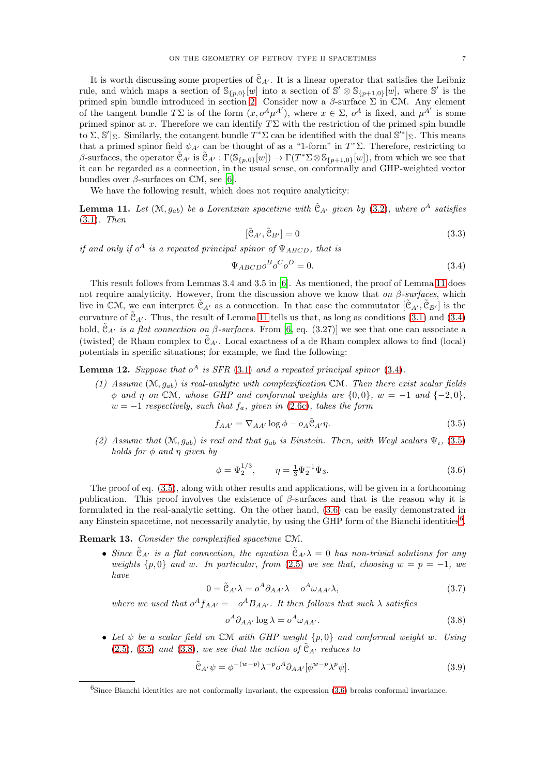It is worth discussing some properties of  $\tilde{\mathfrak{C}}_{A'}$ . It is a linear operator that satisfies the Leibniz rule, and which maps a section of  $\mathbb{S}_{\{p,0\}}[w]$  into a section of  $\mathbb{S}' \otimes \mathbb{S}_{\{p+1,0\}}[w]$ , where  $\mathbb{S}'$  is the primed spin bundle introduced in section [2.](#page-3-0) Consider now a  $\beta$ -surface  $\Sigma$  in CM. Any element of the tangent bundle  $T\Sigma$  is of the form  $(x, o^A \mu^{A'})$ , where  $x \in \Sigma$ ,  $o^A$  is fixed, and  $\mu^{A'}$  is some primed spinor at x. Therefore we can identify  $T\Sigma$  with the restriction of the primed spin bundle to  $\Sigma$ , S'|<sub>Σ</sub>. Similarly, the cotangent bundle  $T^*\Sigma$  can be identified with the dual S'<sup>\*</sup>|<sub>Σ</sub>. This means that a primed spinor field  $\psi_{A'}$  can be thought of as a "1-form" in  $T^*\Sigma$ . Therefore, restricting to β-surfaces, the operator  $\tilde{\mathfrak{C}}_{A'}$  is  $\tilde{\mathfrak{C}}_{A'} : \Gamma(\mathbb{S}_{\{p,0\}}[w]) \to \Gamma(T^*\Sigma \otimes \mathbb{S}_{\{p+1,0\}}[w])$ , from which we see that it can be regarded as a connection, in the usual sense, on conformally and GHP-weighted vector bundles over  $\beta$ -surfaces on  $\mathbb{C}\mathcal{M}$ , see [\[6\]](#page-19-21).

We have the following result, which does not require analyticity:

<span id="page-6-1"></span>**Lemma 11.** Let  $(M, g_{ab})$  be a Lorentzian spacetime with  $\tilde{C}_{A'}$  given by [\(3.2\)](#page-5-3), where  $o^A$  satisfies [\(3.1\)](#page-5-2). Then

$$
[\tilde{\mathcal{C}}_{A'}, \tilde{\mathcal{C}}_{B'}] = 0 \tag{3.3}
$$

if and only if  $o^A$  is a repeated principal spinor of  $\Psi_{ABCD}$ , that is

<span id="page-6-2"></span>
$$
\Psi_{ABCD}o^Bo^Co^D = 0.\tag{3.4}
$$

This result follows from Lemmas 3.4 and 3.5 in [\[6\]](#page-19-21). As mentioned, the proof of Lemma [11](#page-6-1) does not require analyticity. However, from the discussion above we know that on  $\beta$ -surfaces, which live in CM, we can interpret  $C_{A'}$  as a connection. In that case the commutator  $[C_{A'}, C_{B'}]$  is the curvature of  $\tilde{\mathfrak{C}}_{A'}$ . Thus, the result of Lemma [11](#page-6-1) tells us that, as long as conditions [\(3.1\)](#page-5-2) and [\(3.4\)](#page-6-2) hold,  $C_{A'}$  is a flat connection on  $\beta$ -surfaces. From [\[6,](#page-19-21) eq. (3.27)] we see that one can associate a (twisted) de Rham complex to  $\mathfrak{C}_{A'}$ . Local exactness of a de Rham complex allows to find (local) potentials in specific situations; for example, we find the following:

<span id="page-6-0"></span>**Lemma 12.** Suppose that  $o^A$  is SFR [\(3.1\)](#page-5-2) and a repeated principal spinor [\(3.4\)](#page-6-2).

(1) Assume  $(\mathcal{M}, q_{ab})$  is real-analytic with complexification CM. Then there exist scalar fields  $\phi$  and  $\eta$  on CM, whose GHP and conformal weights are  $\{0,0\}$ ,  $w = -1$  and  $\{-2,0\}$ ,  $w = -1$  respectively, such that  $f_a$ , given in [\(2.6c\)](#page-4-2), takes the form

<span id="page-6-3"></span>
$$
f_{AA'} = \nabla_{AA'} \log \phi - o_A \tilde{\mathcal{C}}_{A'} \eta.
$$
 (3.5)

(2) Assume that  $(M, g_{ab})$  is real and that  $g_{ab}$  is Einstein. Then, with Weyl scalars  $\Psi_i$ , [\(3.5\)](#page-6-3) holds for  $\phi$  and  $\eta$  given by

<span id="page-6-4"></span>
$$
\phi = \Psi_2^{1/3}, \qquad \eta = \frac{1}{3} \Psi_2^{-1} \Psi_3. \tag{3.6}
$$

The proof of eq. [\(3.5\)](#page-6-3), along with other results and applications, will be given in a forthcoming publication. This proof involves the existence of  $\beta$ -surfaces and that is the reason why it is formulated in the real-analytic setting. On the other hand, [\(3.6\)](#page-6-4) can be easily demonstrated in any Einstein spacetime, not necessarily analytic, by using the GHP form of the Bianchi identities<sup>[6](#page-6-5)</sup>.

<span id="page-6-8"></span>Remark 13. Consider the complexified spacetime CM.

• Since  $\tilde{\mathfrak{C}}_{A'}$  is a flat connection, the equation  $\tilde{\mathfrak{C}}_{A'}\lambda = 0$  has non-trivial solutions for any weights  $\{p, 0\}$  and w. In particular, from [\(2.5\)](#page-4-1) we see that, choosing  $w = p = -1$ , we have

$$
0 = \tilde{e}_{A'}\lambda = o^A \partial_{AA'}\lambda - o^A \omega_{AA'}\lambda,
$$
\n(3.7)

where we used that  $o^A f_{AA'} = -o^A B_{AA'}$ . It then follows that such  $\lambda$  satisfies

<span id="page-6-6"></span>
$$
o^A \partial_{AA'} \log \lambda = o^A \omega_{AA'}.
$$
\n(3.8)

• Let  $\psi$  be a scalar field on CM with GHP weight  $\{p, 0\}$  and conformal weight w. Using [\(2.5\)](#page-4-1), [\(3.5\)](#page-6-3) and [\(3.8\)](#page-6-6), we see that the action of  $\tilde{C}_{A'}$  reduces to

<span id="page-6-7"></span>
$$
\tilde{e}_{A'}\psi = \phi^{-(w-p)}\lambda^{-p}o^A\partial_{AA'}[\phi^{w-p}\lambda^p\psi].\tag{3.9}
$$

<span id="page-6-5"></span><sup>6</sup>Since Bianchi identities are not conformally invariant, the expression [\(3.6\)](#page-6-4) breaks conformal invariance.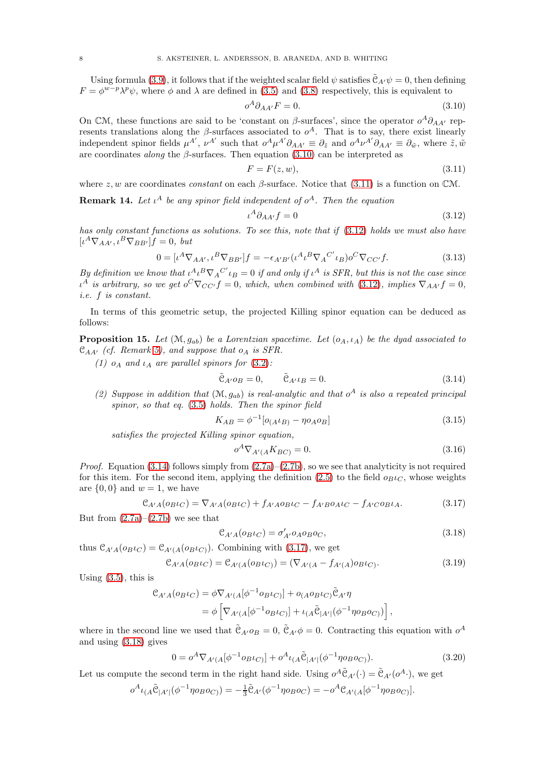Using formula [\(3.9\)](#page-6-7), it follows that if the weighted scalar field  $\psi$  satisfies  $\tilde{\mathfrak{C}}_{A'}\psi = 0$ , then defining  $F = \phi^{w-p} \lambda^p \psi$ , where  $\phi$  and  $\lambda$  are defined in [\(3.5\)](#page-6-3) and [\(3.8\)](#page-6-6) respectively, this is equivalent to

<span id="page-7-0"></span>
$$
o^A \partial_{AA'} F = 0. \tag{3.10}
$$

On CM, these functions are said to be 'constant on  $\beta$ -surfaces', since the operator  $o^A \partial_{AA'}$  represents translations along the  $\beta$ -surfaces associated to  $o^A$ . That is to say, there exist linearly independent spinor fields  $\mu^{A'}$ ,  $\nu^{A'}$  such that  $\sigma^A \mu^{A'} \partial_{AA'} \equiv \partial_{\tilde{z}}$  and  $\sigma^A \nu^{A'} \partial_{AA'} \equiv \partial_{\tilde{w}}$ , where  $\tilde{z}, \tilde{w}$ are coordinates *along* the  $\beta$ -surfaces. Then equation [\(3.10\)](#page-7-0) can be interpreted as

<span id="page-7-1"></span>
$$
F = F(z, w),\tag{3.11}
$$

where  $z, w$  are coordinates *constant* on each  $\beta$ -surface. Notice that [\(3.11\)](#page-7-1) is a function on CM.

<span id="page-7-8"></span>**Remark 14.** Let  $\iota^A$  be any spinor field independent of  $o^A$ . Then the equation

<span id="page-7-2"></span>
$$
\iota^A \partial_{AA'} f = 0 \tag{3.12}
$$

has only constant functions as solutions. To see this, note that if [\(3.12\)](#page-7-2) holds we must also have  $[\iota^A \nabla_{AA'}, \iota^B \nabla_{BB'}] f = 0, \; but$ 

$$
0 = [\iota^{A} \nabla_{AA'}, \iota^{B} \nabla_{BB'}]f = -\epsilon_{A'B'} (\iota^{A} \iota^{B} \nabla_{A}{}^{C'} \iota_{B}) o^{C} \nabla_{CC'} f.
$$
 (3.13)

By definition we know that  $\iota^A \iota^B \nabla_A C' \iota_B = 0$  if and only if  $\iota^A$  is SFR, but this is not the case since  $\iota^A$  is arbitrary, so we get  $o^C \nabla_{CC'} f = 0$ , which, when combined with [\(3.12\)](#page-7-2), implies  $\nabla_{AA'} f = 0$ , i.e. f is constant.

In terms of this geometric setup, the projected Killing spinor equation can be deduced as follows:

<span id="page-7-6"></span>**Proposition 15.** Let  $(\mathcal{M}, q_{ab})$  be a Lorentzian spacetime. Let  $(o_A, \iota_A)$  be the dyad associated to  $\mathfrak{C}_{AA'}$  (cf. Remark [5\)](#page-5-4), and suppose that  $o_A$  is SFR.

(1)  $o_A$  and  $i_A$  are parallel spinors for [\(3.2\)](#page-5-3):

<span id="page-7-3"></span>
$$
\tilde{\mathcal{C}}_{A' \cdot O_B} = 0, \qquad \tilde{\mathcal{C}}_{A' \cdot L_B} = 0. \tag{3.14}
$$

(2) Suppose in addition that  $(\mathcal{M}, g_{ab})$  is real-analytic and that  $o^A$  is also a repeated principal spinor, so that eq. [\(3.5\)](#page-6-3) holds. Then the spinor field

<span id="page-7-7"></span>
$$
K_{AB} = \phi^{-1} [o_{(A} \iota_{B)} - \eta o_A o_B]
$$
\n(3.15)

satisfies the projected Killing spinor equation,

$$
o^A \nabla_{A'(A} K_{BC)} = 0. \tag{3.16}
$$

*Proof.* Equation [\(3.14\)](#page-7-3) follows simply from  $(2.7a)$ – $(2.7b)$ , so we see that analyticity is not required for this item. For the second item, applying the definition [\(2.5\)](#page-4-1) to the field  $o_{B} \iota_{C}$ , whose weights are  $\{0,0\}$  and  $w=1$ , we have

<span id="page-7-4"></span>
$$
\mathcal{C}_{A'A}(o_{B}t_{C}) = \nabla_{A'A}(o_{B}t_{C}) + f_{A'A}o_{B}t_{C} - f_{A'B}o_{A}t_{C} - f_{A'C}o_{B}t_{A}.
$$
\n(3.17)

But from  $(2.7a)-(2.7b)$  $(2.7a)-(2.7b)$  we see that

<span id="page-7-5"></span>
$$
\mathcal{C}_{A'A}(o_{B} \iota_C) = \sigma'_{A'} o_A o_B o_C,\tag{3.18}
$$

thus 
$$
\mathcal{C}_{A'A}(o_{B} \iota_C) = \mathcal{C}_{A'(A}(o_{B} \iota_C))
$$
. Combining with (3.17), we get

$$
\mathcal{C}_{A'A}(o_{B}t_{C}) = \mathcal{C}_{A'(A}(o_{B}t_{C})) = (\nabla_{A'(A} - f_{A'(A})o_{B}t_{C}).
$$
\n(3.19)

Using  $(3.5)$ , this is

$$
\mathcal{C}_{A'A}(o_{B} \iota_{C}) = \phi \nabla_{A'(A}[\phi^{-1} o_{B} \iota_{C})] + o_{(A} o_{B} \iota_{C}) \tilde{\mathcal{C}}_{A'} \eta
$$
  
= 
$$
\phi \left[ \nabla_{A'(A}[\phi^{-1} o_{B} \iota_{C})] + \iota_{(A} \tilde{\mathcal{C}}_{|A'|}(\phi^{-1} \eta o_{B} o_{C})) \right],
$$

where in the second line we used that  $\tilde{\mathcal{C}}_{A'}\circ B=0$ ,  $\tilde{\mathcal{C}}_{A'}\phi=0$ . Contracting this equation with  $o^A$ and using [\(3.18\)](#page-7-5) gives

$$
0 = o^A \nabla_{A'(A} [\phi^{-1} o_{B} \iota_{C)}] + o^A \iota_{(A} \tilde{\mathcal{C}}_{|A'|} (\phi^{-1} \eta o_{B} o_{C)}).
$$
 (3.20)

Let us compute the second term in the right hand side. Using  $o^A \tilde{C}_{A'}(\cdot) = \tilde{C}_{A'}(o^A \cdot)$ , we get

$$
o^A\iota_{(A}\tilde{\mathcal{C}}_{|A'|}(\phi^{-1}\eta o_B o_{C)}) = -\frac{1}{3}\tilde{\mathcal{C}}_{A'}(\phi^{-1}\eta o_B o_C) = -o^A\mathcal{C}_{A'(A}[\phi^{-1}\eta o_B o_{C)}].
$$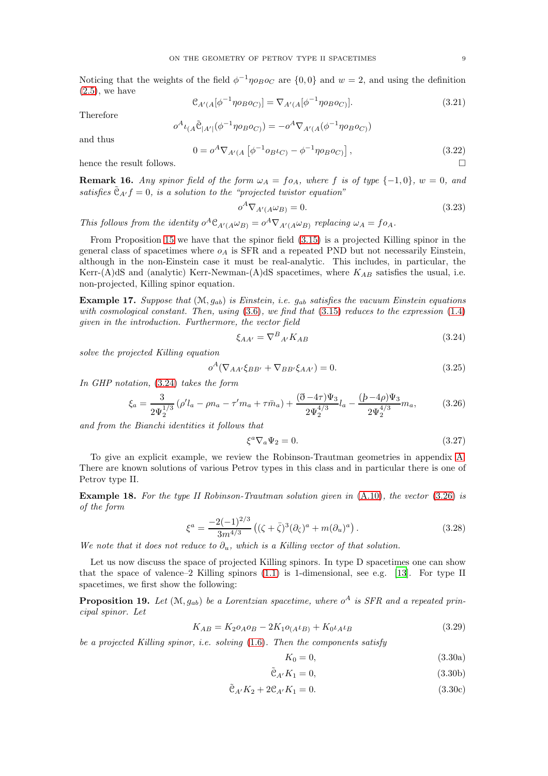Noticing that the weights of the field  $\phi^{-1} \eta \circ_{B} o_C$  are  $\{0,0\}$  and  $w = 2$ , and using the definition  $(2.5)$ , we have

$$
\mathcal{C}_{A'(A}[\phi^{-1}\eta o_B o_{C)}] = \nabla_{A'(A}[\phi^{-1}\eta o_B o_{C)}].
$$
\n(3.21)

Therefore

$$
o^{A}\iota_{(A}\tilde{\mathcal{C}}_{|A'|}(\phi^{-1}\eta o_{B}o_{C)}) = -o^{A}\nabla_{A'(A}(\phi^{-1}\eta o_{B}o_{C}))
$$

and thus

$$
0 = o^A \nabla_{A'(A} \left[ \phi^{-1} o_{B} \iota_{C} - \phi^{-1} \eta o_B o_{C} \right],
$$
\n(3.22)

hence the result follows.

**Remark 16.** Any spinor field of the form  $\omega_A = f \circ A$ , where f is of type  $\{-1,0\}$ ,  $w = 0$ , and satisfies  $\tilde{\mathfrak{C}}_{A'}f=0$ , is a solution to the "projected twistor equation"

$$
o^A \nabla_{A'(A} \omega_B) = 0.
$$
\n(3.23)\n
$$
\omega = o^A \nabla_{A'} (\omega_B) \text{ replacing } \omega = f \omega.
$$

This follows from the identity  $o^A \mathcal{C}_{A'(A} \omega_{B)} = o^A \nabla_{A'(A} \omega_{B)}$  replacing  $\omega_A = f o_A$ .

From Proposition [15](#page-7-6) we have that the spinor field [\(3.15\)](#page-7-7) is a projected Killing spinor in the general class of spacetimes where  $o<sub>A</sub>$  is SFR and a repeated PND but not necessarily Einstein, although in the non-Einstein case it must be real-analytic. This includes, in particular, the Kerr-(A)dS and (analytic) Kerr-Newman-(A)dS spacetimes, where  $K_{AB}$  satisfies the usual, i.e. non-projected, Killing spinor equation.

<span id="page-8-1"></span>**Example 17.** Suppose that  $(M, g_{ab})$  is Einstein, i.e.  $g_{ab}$  satisfies the vacuum Einstein equations with cosmological constant. Then, using  $(3.6)$ , we find that  $(3.15)$  reduces to the expression  $(1.4)$ given in the introduction. Furthermore, the vector field

<span id="page-8-2"></span>
$$
\xi_{AA'} = \nabla^B{}_{A'} K_{AB} \tag{3.24}
$$

solve the projected Killing equation

$$
o^{A}(\nabla_{AA'}\xi_{BB'} + \nabla_{BB'}\xi_{AA'}) = 0.
$$
\n(3.25)

In GHP notation, [\(3.24\)](#page-8-2) takes the form

$$
\xi_a = \frac{3}{2\Psi_2^{1/3}} \left( \rho' l_a - \rho n_a - \tau' m_a + \tau \bar{m}_a \right) + \frac{(\eth - 4\tau)\Psi_3}{2\Psi_2^{4/3}} l_a - \frac{(b - 4\rho)\Psi_3}{2\Psi_2^{4/3}} m_a, \tag{3.26}
$$

and from the Bianchi identities it follows that

<span id="page-8-3"></span>
$$
\xi^a \nabla_a \Psi_2 = 0. \tag{3.27}
$$

To give an explicit example, we review the Robinson-Trautman geometries in appendix [A.](#page-18-2) There are known solutions of various Petrov types in this class and in particular there is one of Petrov type II.

<span id="page-8-0"></span>Example 18. For the type II Robinson-Trautman solution given in [\(A.10\)](#page-18-5), the vector [\(3.26\)](#page-8-3) is of the form

$$
\xi^{a} = \frac{-2(-1)^{2/3}}{3m^{4/3}} \left( (\zeta + \bar{\zeta})^3 (\partial_{\zeta})^a + m(\partial_{u})^a \right). \tag{3.28}
$$

We note that it does not reduce to  $\partial_u$ , which is a Killing vector of that solution.

Let us now discuss the space of projected Killing spinors. In type D spacetimes one can show that the space of valence–2 Killing spinors [\(1.1\)](#page-0-1) is 1-dimensional, see e.g. [\[13](#page-19-12)]. For type II spacetimes, we first show the following:

**Proposition 19.** Let  $(\mathcal{M}, g_{ab})$  be a Lorentzian spacetime, where  $o^A$  is SFR and a repeated principal spinor. Let

$$
K_{AB} = K_2 o_A o_B - 2K_1 o_{(A} \iota_B) + K_0 \iota_A \iota_B \tag{3.29}
$$

be a projected Killing spinor, i.e. solving [\(1.6\)](#page-1-3). Then the components satisfy

<span id="page-8-6"></span><span id="page-8-5"></span><span id="page-8-4"></span>
$$
K_0 = 0,\t(3.30a)
$$

$$
\tilde{\mathcal{C}}_{A'} K_1 = 0,\t\t(3.30b)
$$

$$
\tilde{\mathcal{C}}_{A'} K_2 + 2\mathcal{C}_{A'} K_1 = 0. \tag{3.30c}
$$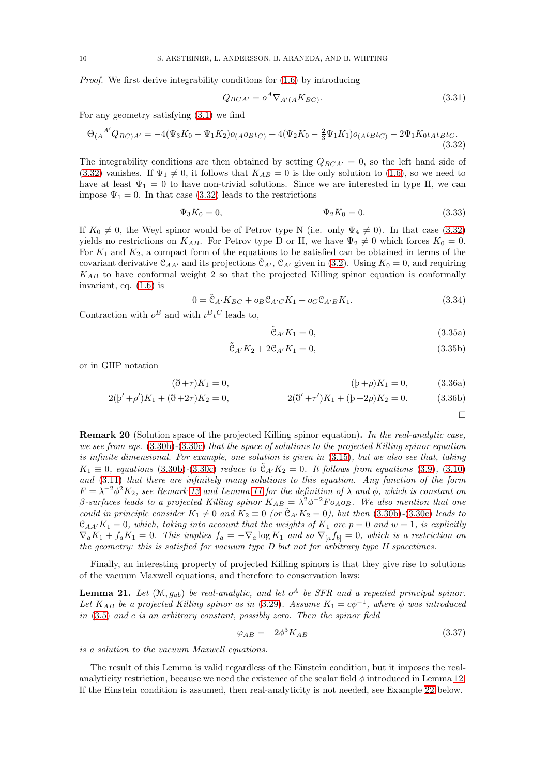Proof. We first derive integrability conditions for [\(1.6\)](#page-1-3) by introducing

<span id="page-9-0"></span>
$$
Q_{BCA'} = o^A \nabla_{A'(A} K_{BC)}.
$$
\n(3.31)

For any geometry satisfying [\(3.1\)](#page-5-2) we find

$$
\Theta_{(A}{}^{A'}Q_{BC)A'} = -4(\Psi_3 K_0 - \Psi_1 K_2) o_{(A}o_{B}l_{C)} + 4(\Psi_2 K_0 - \frac{2}{3}\Psi_1 K_1) o_{(A}l_{B}l_{C)} - 2\Psi_1 K_0 l_{A}l_{B}l_{C}.
$$
\n(3.32)

The integrability conditions are then obtained by setting  $Q_{BCA'} = 0$ , so the left hand side of [\(3.32\)](#page-9-0) vanishes. If  $\Psi_1 \neq 0$ , it follows that  $K_{AB} = 0$  is the only solution to [\(1.6\)](#page-1-3), so we need to have at least  $\Psi_1 = 0$  to have non-trivial solutions. Since we are interested in type II, we can impose  $\Psi_1 = 0$ . In that case [\(3.32\)](#page-9-0) leads to the restrictions

$$
\Psi_3 K_0 = 0, \qquad \Psi_2 K_0 = 0. \tag{3.33}
$$

If  $K_0 \neq 0$ , the Weyl spinor would be of Petrov type N (i.e. only  $\Psi_4 \neq 0$ ). In that case [\(3.32\)](#page-9-0) yields no restrictions on  $K_{AB}$ . For Petrov type D or II, we have  $\Psi_2 \neq 0$  which forces  $K_0 = 0$ . For  $K_1$  and  $K_2$ , a compact form of the equations to be satisfied can be obtained in terms of the covariant derivative  $\mathcal{C}_{AA'}$  and its projections  $\mathcal{C}_{A'}$ ,  $\mathcal{C}_{A'}$  given in [\(3.2\)](#page-5-3). Using  $K_0 = 0$ , and requiring  $K_{AB}$  to have conformal weight 2 so that the projected Killing spinor equation is conformally invariant, eq. [\(1.6\)](#page-1-3) is

$$
0 = \tilde{\mathcal{C}}_{A'} K_{BC} + o_B \mathcal{C}_{A'C} K_1 + o_C \mathcal{C}_{A'B} K_1.
$$
\n(3.34)

Contraction with  $o^B$  and with  $\iota^B \iota^C$  leads to,

$$
\tilde{\mathcal{C}}_{A'} K_1 = 0,\t\t(3.35a)
$$

$$
\tilde{\mathcal{C}}_{A'} K_2 + 2 \mathcal{C}_{A'} K_1 = 0,\tag{3.35b}
$$

or in GHP notation

$$
(\eth + \tau)K_1 = 0, \qquad (\eth + \rho)K_1 = 0, \qquad (3.36a)
$$

$$
2(b'+\rho')K_1 + (\eth + 2\tau)K_2 = 0, \qquad 2(\eth' + \tau')K_1 + (b'+2\rho)K_2 = 0. \qquad (3.36b)
$$

 $\Box$ 

Remark 20 (Solution space of the projected Killing spinor equation). In the real-analytic case, we see from eqs. [\(3.30b\)](#page-8-4)-[\(3.30c\)](#page-8-5) that the space of solutions to the projected Killing spinor equation is infinite dimensional. For example, one solution is given in [\(3.15\)](#page-7-7), but we also see that, taking  $K_1 \equiv 0$ , equations [\(3.30b\)](#page-8-4)-[\(3.30c\)](#page-8-5) reduce to  $\tilde{\mathfrak{C}}_{A'}K_2 = 0$ . It follows from equations [\(3.9\)](#page-6-7), [\(3.10\)](#page-7-0) and [\(3.11\)](#page-7-1) that there are infinitely many solutions to this equation. Any function of the form  $F = \lambda^{-2} \phi^2 K_2$ , see Remark [13](#page-6-8) and Lemma [11](#page-6-1) for the definition of  $\lambda$  and  $\phi$ , which is constant on β-surfaces leads to a projected Killing spinor  $K_{AB} = \lambda^2 \phi^{-2} F_{0A} \rho_B$ . We also mention that one could in principle consider  $K_1 \neq 0$  and  $K_2 \equiv 0$  (or  $\tilde{\mathfrak{C}}_{A'}K_2 = 0$ ), but then [\(3.30b\)](#page-8-4)-[\(3.30c\)](#page-8-5) leads to  $\mathfrak{C}_{AA'}K_1=0$ , which, taking into account that the weights of  $K_1$  are  $p=0$  and  $w=1$ , is explicitly  $\nabla_a K_1 + f_a K_1 = 0$ . This implies  $f_a = -\nabla_a \log K_1$  and so  $\nabla_{[a} f_{b]} = 0$ , which is a restriction on the geometry: this is satisfied for vacuum type  $D$  but not for arbitrary type  $II$  spacetimes.

Finally, an interesting property of projected Killing spinors is that they give rise to solutions of the vacuum Maxwell equations, and therefore to conservation laws:

<span id="page-9-1"></span>**Lemma 21.** Let  $(M, g_{ab})$  be real-analytic, and let  $o^A$  be SFR and a repeated principal spinor. Let  $K_{AB}$  be a projected Killing spinor as in [\(3.29\)](#page-8-6). Assume  $K_1 = c\phi^{-1}$ , where  $\phi$  was introduced in  $(3.5)$  and c is an arbitrary constant, possibly zero. Then the spinor field

<span id="page-9-2"></span>
$$
\varphi_{AB} = -2\phi^3 K_{AB} \tag{3.37}
$$

is a solution to the vacuum Maxwell equations.

The result of this Lemma is valid regardless of the Einstein condition, but it imposes the realanalyticity restriction, because we need the existence of the scalar field  $\phi$  introduced in Lemma [12.](#page-6-0) If the Einstein condition is assumed, then real-analyticity is not needed, see Example [22](#page-10-1) below.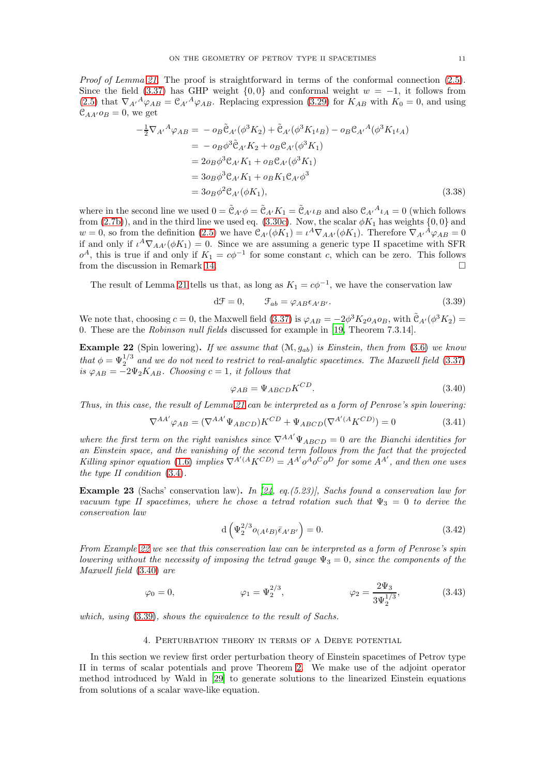Proof of Lemma [21.](#page-9-1) The proof is straightforward in terms of the conformal connection [\(2.5\)](#page-4-1). Since the field [\(3.37\)](#page-9-2) has GHP weight  $\{0, 0\}$  and conformal weight  $w = -1$ , it follows from [\(2.5\)](#page-4-1) that  $\nabla_{A'}{}^A \varphi_{AB} = \mathcal{C}_{A'}{}^A \varphi_{AB}$ . Replacing expression [\(3.29\)](#page-8-6) for  $K_{AB}$  with  $K_0 = 0$ , and using  $\mathcal{C}_{AA'}o_B = 0$ , we get

$$
-\frac{1}{2}\nabla_{A'}{}^{A}\varphi_{AB} = -o_{B}\tilde{\mathcal{C}}_{A'}(\phi^{3}K_{2}) + \tilde{\mathcal{C}}_{A'}(\phi^{3}K_{1}\iota_{B}) - o_{B}\mathcal{C}_{A'}{}^{A}(\phi^{3}K_{1}\iota_{A})
$$
  
\n
$$
= -o_{B}\phi^{3}\tilde{\mathcal{C}}_{A'}K_{2} + o_{B}\mathcal{C}_{A'}(\phi^{3}K_{1})
$$
  
\n
$$
= 2o_{B}\phi^{3}\mathcal{C}_{A'}K_{1} + o_{B}\mathcal{C}_{A'}(\phi^{3}K_{1})
$$
  
\n
$$
= 3o_{B}\phi^{3}\mathcal{C}_{A'}K_{1} + o_{B}K_{1}\mathcal{C}_{A'}\phi^{3}
$$
  
\n
$$
= 3o_{B}\phi^{2}\mathcal{C}_{A'}(\phi K_{1}), \qquad (3.38)
$$

where in the second line we used  $0 = \tilde{C}_{A'} \phi = \tilde{C}_{A'} K_1 = \tilde{C}_{A'} \iota_B$  and also  $C_{A'}{}^A \iota_A = 0$  (which follows from [\(2.7b\)](#page-5-5)), and in the third line we used eq. [\(3.30c\)](#page-8-5). Now, the scalar  $\phi K_1$  has weights  $\{0, 0\}$  and  $w = 0$ , so from the definition [\(2.5\)](#page-4-1) we have  $C_{A'}(\phi K_1) = \iota^A \nabla_{AA'}(\phi K_1)$ . Therefore  $\nabla_{A'}{}^{\hat{A}} \varphi_{AB} = 0$ if and only if  $\iota^A \nabla_{AA'} (\phi K_1) = 0$ . Since we are assuming a generic type II spacetime with SFR  $o^A$ , this is true if and only if  $K_1 = c\phi^{-1}$  for some constant c, which can be zero. This follows from the discussion in Remark [14.](#page-7-8)

The result of Lemma [21](#page-9-1) tells us that, as long as  $K_1 = c\phi^{-1}$ , we have the conservation law

<span id="page-10-3"></span>
$$
d\mathcal{F} = 0, \qquad \mathcal{F}_{ab} = \varphi_{AB} \epsilon_{A'B'}.
$$
 (3.39)

We note that, choosing  $c = 0$ , the Maxwell field [\(3.37\)](#page-9-2) is  $\varphi_{AB} = -2\phi^3 K_2 \overline{\varphi}_{AB}$ , with  $\tilde{C}_{A'}(\phi^3 K_2) =$ 0. These are the Robinson null fields discussed for example in [\[19,](#page-19-10) Theorem 7.3.14].

<span id="page-10-1"></span>**Example 22** (Spin lowering). If we assume that  $(\mathcal{M}, g_{ab})$  is Einstein, then from [\(3.6\)](#page-6-4) we know that  $\phi = \Psi_2^{1/3}$  and we do not need to restrict to real-analytic spacetimes. The Maxwell field [\(3.37\)](#page-9-2) is  $\varphi_{AB} = -2\Psi_2 K_{AB}$ . Choosing  $c = 1$ , it follows that

<span id="page-10-2"></span>
$$
\varphi_{AB} = \Psi_{ABCD} K^{CD}.
$$
\n(3.40)

Thus, in this case, the result of Lemma [21](#page-9-1) can be interpreted as a form of Penrose's spin lowering:

$$
\nabla^{AA'} \varphi_{AB} = (\nabla^{AA'} \Psi_{ABCD}) K^{CD} + \Psi_{ABCD} (\nabla^{A'(A} K^{CD)}) = 0 \tag{3.41}
$$

where the first term on the right vanishes since  $\nabla^{AA'}\Psi_{ABCD} = 0$  are the Bianchi identities for an Einstein space, and the vanishing of the second term follows from the fact that the projected Killing spinor equation [\(1.6\)](#page-1-3) implies  $\nabla^{A'(A} K^{CD)} = A^{A'} \circ A^{A} \circ C \circ D$  for some  $A^{A'}$ , and then one uses the type II condition [\(3.4\)](#page-6-2).

**Example 23** (Sachs' conservation law). In [\[24,](#page-19-22) eq.(5.23)], Sachs found a conservation law for vacuum type II spacetimes, where he chose a tetrad rotation such that  $\Psi_3 = 0$  to derive the conservation law

$$
d\left(\Psi_2^{2/3}o_{(A^LB)}\bar{\epsilon}_{A'B'}\right) = 0.
$$
\n(3.42)

From Example [22](#page-10-1) we see that this conservation law can be interpreted as a form of Penrose's spin lowering without the necessity of imposing the tetrad gauge  $\Psi_3 = 0$ , since the components of the Maxwell field [\(3.40\)](#page-10-2) are

$$
\varphi_0 = 0,
$$
\n $\varphi_1 = \Psi_2^{2/3},$ \n $\varphi_2 = \frac{2\Psi_3}{3\Psi_2^{1/3}},$ \n(3.43)

<span id="page-10-0"></span>which, using [\(3.39\)](#page-10-3), shows the equivalence to the result of Sachs.

### 4. Perturbation theory in terms of a Debye potential

In this section we review first order perturbation theory of Einstein spacetimes of Petrov type II in terms of scalar potentials and prove Theorem [2.](#page-2-4) We make use of the adjoint operator method introduced by Wald in [\[29](#page-19-3)] to generate solutions to the linearized Einstein equations from solutions of a scalar wave-like equation.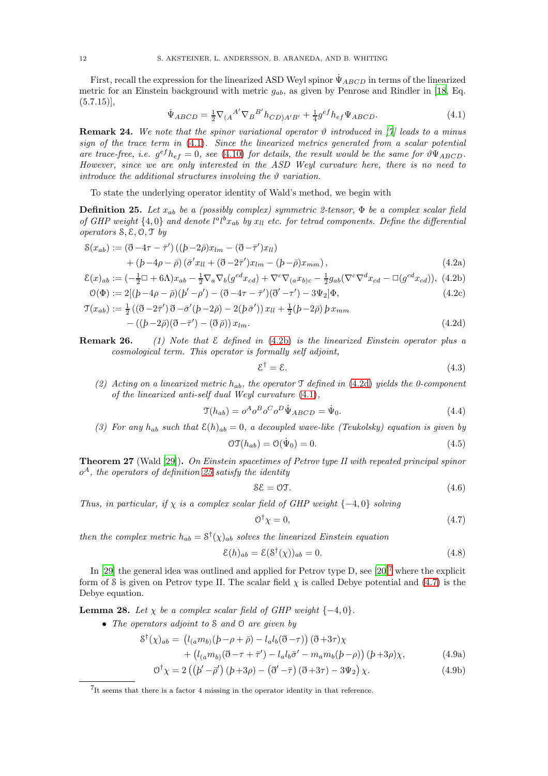First, recall the expression for the linearized ASD Weyl spinor  $\Psi_{ABCD}$  in terms of the linearized metric for an Einstein background with metric  $g_{ab}$ , as given by Penrose and Rindler in [\[18,](#page-19-9) Eq.  $(5.7.15)$ ,

<span id="page-11-1"></span>
$$
\dot{\Psi}_{ABCD} = \frac{1}{2} \nabla_{(A}{}^{A'} \nabla_B{}^{B'} h_{CD)A'B'} + \frac{1}{4} g^{ef} h_{ef} \Psi_{ABCD}.
$$
\n(4.1)

**Remark 24.** We note that the spinor variational operator  $\vartheta$  introduced in [\[7\]](#page-19-23) leads to a minus sign of the trace term in  $(4.1)$ . Since the linearized metrics generated from a scalar potential are trace-free, i.e.  $g^{ef}h_{ef} = 0$ , see [\(4.10\)](#page-12-0) for details, the result would be the same for  $\vartheta\Psi_{ABCD}$ . However, since we are only interested in the ASD Weyl curvature here, there is no need to introduce the additional structures involving the  $\vartheta$  variation.

To state the underlying operator identity of Wald's method, we begin with

<span id="page-11-4"></span>**Definition 25.** Let  $x_{ab}$  be a (possibly complex) symmetric 2-tensor,  $\Phi$  be a complex scalar field of GHP weight  $\{4,0\}$  and denote  $l^a l^b x_{ab}$  by  $x_{ll}$  etc. for tetrad components. Define the differential operators  $S, \mathcal{E}, \mathcal{O}, \mathcal{T}$  by

$$
\begin{split} \mathcal{S}(x_{ab}) &:= (\eth - 4\tau - \bar{\tau}') \left( (b - 2\bar{\rho}) x_{lm} - (\eth - \bar{\tau}') x_{ll} \right) \\ &+ (b - 4\rho - \bar{\rho}) \left( \bar{\sigma}' x_{ll} + (\eth - 2\bar{\tau}') x_{lm} - (b - \bar{\rho}) x_{mm} \right), \end{split} \tag{4.2a}
$$

$$
\mathcal{E}(x)_{ab} := \left(-\frac{1}{2}\Box + 6\Lambda\right)x_{ab} - \frac{1}{2}\nabla_a\nabla_b(g^{cd}x_{cd}) + \nabla^c\nabla_{(a}x_{b)c} - \frac{1}{2}g_{ab}(\nabla^c\nabla^d x_{cd} - \Box(g^{cd}x_{cd})), \tag{4.2b}
$$

$$
\mathcal{O}(\Phi) := 2[(b - 4\rho - \bar{\rho})(b' - \rho') - (\bar{\sigma} - 4\tau - \bar{\tau}')(\bar{\sigma}' - \tau') - 3\Psi_2]\Phi,
$$
\n(4.2c)

$$
\mathcal{T}(x_{ab}) := \frac{1}{2} \left( (\mathfrak{F} - 2\bar{\tau}') \mathfrak{F} - \bar{\sigma}'(p - 2\bar{\rho}) - 2(p\bar{\sigma}') \right) x_{ll} + \frac{1}{2} (p - 2\bar{\rho}) p x_{mm}
$$

$$
- \left( (p - 2\bar{\rho}) (\mathfrak{F} - \bar{\tau}') - (\mathfrak{F} \bar{\rho}) \right) x_{lm}.
$$
(4.2d)

**Remark 26.** (1) Note that  $\mathcal E$  defined in [\(4.2b\)](#page-11-2) is the linearized Einstein operator plus a cosmological term. This operator is formally self adjoint,

<span id="page-11-7"></span><span id="page-11-3"></span><span id="page-11-2"></span><span id="page-11-0"></span>
$$
\mathcal{E}^{\dagger} = \mathcal{E}.\tag{4.3}
$$

(2) Acting on a linearized metric  $h_{ab}$ , the operator  $\Im$  defined in [\(4.2d\)](#page-11-3) yields the 0-component of the linearized anti-self dual Weyl curvature [\(4.1\)](#page-11-1),

$$
\mathfrak{T}(h_{ab}) = o^A o^B o^C o^D \dot{\Psi}_{ABCD} = \dot{\Psi}_0.
$$
\n(4.4)

(3) For any  $h_{ab}$  such that  $\mathcal{E}(h)_{ab} = 0$ , a decoupled wave-like (Teukolsky) equation is given by

$$
\mathcal{OT}(h_{ab}) = \mathcal{O}(\dot{\Psi}_0) = 0.
$$
\n(4.5)

Theorem 27 (Wald [\[29\]](#page-19-3)). On Einstein spacetimes of Petrov type II with repeated principal spinor  $o<sup>A</sup>$ , the operators of definition [25](#page-11-4) satisfy the identity

$$
\mathcal{SE} = \mathcal{OT}.\tag{4.6}
$$

Thus, in particular, if  $\chi$  is a complex scalar field of GHP weight {-4,0} solving

<span id="page-11-10"></span><span id="page-11-9"></span><span id="page-11-6"></span>
$$
\mathcal{O}^{\dagger}\chi=0,\tag{4.7}
$$

then the complex metric  $h_{ab} = \mathcal{S}^{\dagger}(\chi)_{ab}$  solves the linearized Einstein equation

<span id="page-11-8"></span>
$$
\mathcal{E}(h)_{ab} = \mathcal{E}(\mathcal{S}^{\dagger}(\chi))_{ab} = 0.
$$
\n(4.8)

In [\[29\]](#page-19-3) the general idea was outlined and applied for Petrov type D, see  $[20]$ <sup>[7](#page-11-5)</sup> where the explicit form of S is given on Petrov type II. The scalar field  $\chi$  is called Debye potential and [\(4.7\)](#page-11-6) is the Debye equation.

**Lemma 28.** Let  $\chi$  be a complex scalar field of GHP weight  $\{-4, 0\}$ .

• The operators adjoint to S and O are given by

$$
\mathcal{S}^{\dagger}(\chi)_{ab} = (l_{(a}m_{b)}(p-\rho+\bar{\rho}) - l_{a}l_{b}(\mathfrak{F}-\tau))(\mathfrak{F}+3\tau)\chi + (l_{(a}m_{b)}(\mathfrak{F}-\tau+\bar{\tau}') - l_{a}l_{b}\bar{\sigma}' - m_{a}m_{b}(p-\rho))(p+3\rho)\chi,
$$
(4.9a)

$$
\begin{array}{ccccccccc}\n & & (a_{ab})(a & b & c) & & a_{ab}(a & b) & & a_{ab}(a & b) \\
\end{array}
$$

$$
\mathcal{O}^{\dagger}\chi = 2\left(\left(\frac{b'}{-\overline{\rho}'}\right)\left(\frac{b+3\rho\right) - \left(\overline{\partial}'-\overline{\tau}\right)\left(\overline{\partial}+3\tau\right) - 3\Psi_2\right)\chi. \tag{4.9b}
$$

<span id="page-11-5"></span><sup>&</sup>lt;sup>7</sup>It seems that there is a factor 4 missing in the operator identity in that reference.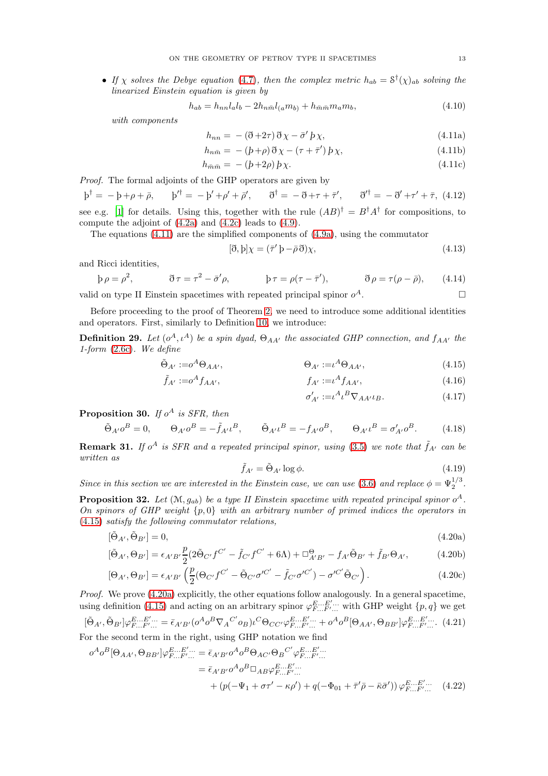• If x solves the Debye equation [\(4.7\)](#page-11-6), then the complex metric  $h_{ab} = \mathcal{S}^{\dagger}(\chi)_{ab}$  solving the linearized Einstein equation is given by

<span id="page-12-1"></span>
$$
h_{ab} = h_{nn}l_a l_b - 2h_{n\bar{m}}l_{(a}m_{b)} + h_{\bar{m}\bar{m}}m_a m_b,
$$
\n(4.10)

with components

<span id="page-12-0"></span>
$$
h_{nn} = -(\eth + 2\tau)\eth\chi - \bar{\sigma}'\phi\chi,\tag{4.11a}
$$

$$
h_{n\bar{m}} = - (b+\rho)\,\eth\,\chi - (\tau + \bar{\tau}')\,b\,\chi,\tag{4.11b}
$$

$$
h_{\bar{m}\bar{m}} = -\left(b + 2\rho\right)b\chi. \tag{4.11c}
$$

Proof. The formal adjoints of the GHP operators are given by

 $\Phi^{\dagger} = -\Phi + \rho + \bar{\rho}, \qquad \Phi'^{\dagger} = -\bar{\rho}' + \rho' + \bar{\rho}', \qquad \eth^{\dagger} = -\bar{\partial} + \tau + \bar{\tau}', \qquad \eth'^{\dagger} = -\bar{\partial}' + \tau' + \bar{\tau}, (4.12)$ see e.g. [\[1](#page-18-6)] for details. Using this, together with the rule  $(AB)^{\dagger} = B^{\dagger}A^{\dagger}$  for compositions, to compute the adjoint of [\(4.2a\)](#page-11-0) and [\(4.2c\)](#page-11-7) leads to [\(4.9\)](#page-11-8).

The equations  $(4.11)$  are the simplified components of  $(4.9a)$ , using the commutator

$$
[\eth, b] \chi = (\bar{\tau}' b - \bar{\rho} \eth) \chi,\tag{4.13}
$$

and Ricci identities,

$$
\beta \rho = \rho^2, \qquad \qquad \tilde{\sigma}\tau = \tau^2 - \bar{\sigma}'\rho, \qquad \qquad \beta \tau = \rho(\tau - \bar{\tau}'), \qquad \qquad \tilde{\sigma}\rho = \tau(\rho - \bar{\rho}), \qquad (4.14)
$$

valid on type II Einstein spacetimes with repeated principal spinor  $o^A$ .  $A$ .

Before proceeding to the proof of Theorem [2,](#page-2-4) we need to introduce some additional identities and operators. First, similarly to Definition [10,](#page-5-6) we introduce:

**Definition 29.** Let  $(o^A, \iota^A)$  be a spin dyad,  $\Theta_{AA'}$  the associated GHP connection, and  $f_{AA'}$  the 1-form [\(2.6c\)](#page-4-2). We define

$$
\tilde{\Theta}_{A'} := o^A \Theta_{AA'}, \qquad \Theta_{A'} := \iota^A \Theta_{AA'}, \qquad (4.15)
$$

$$
\tilde{f}_{A'} := o^A f_{AA'}, \qquad f_{A'} := o^A f_{AA'}, \qquad (4.16)
$$

<span id="page-12-10"></span><span id="page-12-8"></span><span id="page-12-7"></span><span id="page-12-3"></span><span id="page-12-2"></span>
$$
\sigma'_{A'} := \iota^A \iota^B \nabla_{AA'} \iota_B. \tag{4.17}
$$

**Proposition 30.** If  $o^A$  is SFR, then

$$
\tilde{\Theta}_{A'O}{}^B = 0, \qquad \Theta_{A'O}{}^B = -\tilde{f}_{A'O}{}^B, \qquad \tilde{\Theta}_{A'O}{}^B = -f_{A'O}{}^B, \qquad \Theta_{A'O}{}^B = \sigma'_{A'O}{}^B. \tag{4.18}
$$

**Remark 31.** If  $o^A$  is SFR and a repeated principal spinor, using [\(3.5\)](#page-6-3) we note that  $\tilde{f}_{A'}$  can be written as

<span id="page-12-9"></span><span id="page-12-6"></span><span id="page-12-4"></span>
$$
\tilde{f}_{A'} = \tilde{\Theta}_{A'} \log \phi.
$$
\n(4.19)

Since in this section we are interested in the Einstein case, we can use [\(3.6\)](#page-6-4) and replace  $\phi = \Psi_2^{1/3}$ .

**Proposition 32.** Let  $(M, g_{ab})$  be a type II Einstein spacetime with repeated principal spinor o<sup>A</sup>. On spinors of GHP weight  $\{p, 0\}$  with an arbitrary number of primed indices the operators in [\(4.15\)](#page-12-2) satisfy the following commutator relations,

$$
[\tilde{\Theta}_{A'}, \tilde{\Theta}_{B'}] = 0,\tag{4.20a}
$$

$$
[\tilde{\Theta}_{A'}, \Theta_{B'}] = \epsilon_{A'B'} \frac{p}{2} (2\tilde{\Theta}_{C'}f^{C'} - \tilde{f}_{C'}f^{C'} + 6\Lambda) + \Box_{A'B'}^{\Theta} - f_{A'}\tilde{\Theta}_{B'} + \tilde{f}_{B'}\Theta_{A'},
$$
(4.20b)

$$
[\Theta_{A'}, \Theta_{B'}] = \epsilon_{A'B'} \left( \frac{p}{2} (\Theta_{C'} f^{C'} - \tilde{\Theta}_{C'} \sigma'^{C'} - \tilde{f}_{C'} \sigma'^{C'}) - \sigma'^{C'} \tilde{\Theta}_{C'} \right). \tag{4.20c}
$$

Proof. We prove [\(4.20a\)](#page-12-3) explicitly, the other equations follow analogously. In a general spacetime, using definition [\(4.15\)](#page-12-2) and acting on an arbitrary spinor  $\varphi_{F...F'...}^{E...E'...}$  with GHP weight  $\{p,q\}$  we get

<span id="page-12-5"></span>
$$
[\tilde{\Theta}_{A'}, \tilde{\Theta}_{B'}] \varphi_{F...F'...}^{E...E'...} = \bar{\epsilon}_{A'B'} (\sigma^A \sigma^B \nabla_A C' \sigma_B) \iota^C \Theta_{CC'} \varphi_{F...F'...}^{E...E'...} + \sigma^A \sigma^B [\Theta_{AA'}, \Theta_{BB'}] \varphi_{F...F'...}^{E...E'...}
$$
 (4.21)  
For the second term in the right, using GHP notation we find

$$
\sigma^{A} \sigma^{B} [\Theta_{AA'}, \Theta_{BB'}] \varphi_{F...F'...}^{E...E'...} = \bar{\epsilon}_{A'B'} \sigma^{A} \sigma^{B} \Theta_{AC'} \Theta_{B}^{C'} \varphi_{F...F'...}^{E...E'...}
$$
  
\n
$$
= \bar{\epsilon}_{A'B'} \sigma^{A} \sigma^{B} \Box_{AB} \varphi_{F...F'...}^{E...E'...}
$$
  
\n
$$
+ (p(-\Psi_{1} + \sigma\tau' - \kappa\rho') + q(-\Phi_{01} + \bar{\tau}'\bar{\rho} - \bar{\kappa}\bar{\sigma}')) \varphi_{F...F'...}^{E...E'...}
$$
(4.22)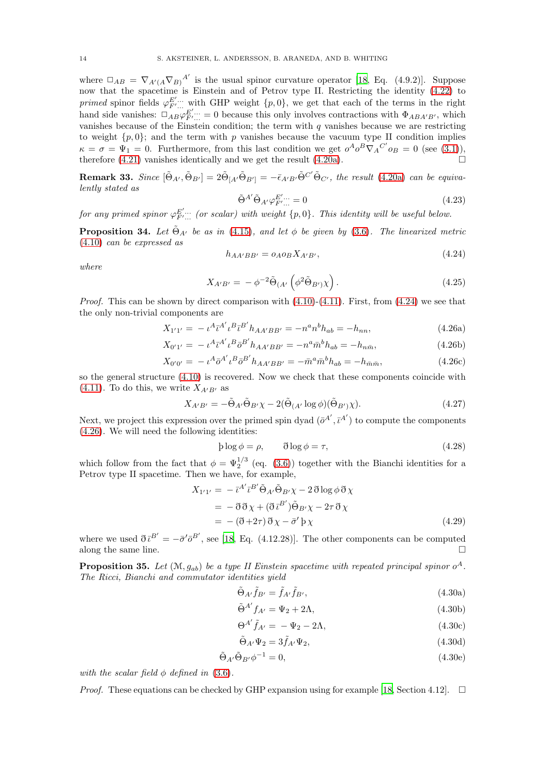where  $\Box_{AB} = \nabla_{A'(A} \nabla_{B)}^{A'}$  is the usual spinor curvature operator [\[18,](#page-19-9) Eq. (4.9.2)]. Suppose now that the spacetime is Einstein and of Petrov type II. Restricting the identity [\(4.22\)](#page-12-4) to primed spinor fields  $\varphi_{F'...}^{E'...}$  with GHP weight  $\{p, 0\}$ , we get that each of the terms in the right hand side vanishes:  $\Box_{AB} \varphi_{F'...}^{E'...} = 0$  because this only involves contractions with  $\Phi_{ABA'B'}$ , which vanishes because of the Einstein condition; the term with  $q$  vanishes because we are restricting to weight  $\{p, 0\}$ ; and the term with p vanishes because the vacuum type II condition implies  $\kappa = \sigma = \Psi_1 = 0$ . Furthermore, from this last condition we get  $o^A o^B \nabla_A C' o_B = 0$  (see [\(3.1\)](#page-5-2)), therefore [\(4.21\)](#page-12-5) vanishes identically and we get the result [\(4.20a\)](#page-12-3).

**Remark 33.** Since  $[\tilde{\Theta}_{A'}, \tilde{\Theta}_{B'}] = 2 \tilde{\Theta}_{[A'} \tilde{\Theta}_{B']} = - \bar{\epsilon}_{A'B'} \tilde{\Theta}^{C'} \tilde{\Theta}_{C'}$ , the result [\(4.20a\)](#page-12-3) can be equivalently stated as

<span id="page-13-3"></span>
$$
\tilde{\Theta}^{A'} \tilde{\Theta}_{A'} \varphi_{F'...}^{E'...} = 0 \tag{4.23}
$$

for any primed spinor  $\varphi_{F'...}^{E'...}$  (or scalar) with weight  $\{p, 0\}$ . This identity will be useful below.

**Proposition 34.** Let  $\tilde{\Theta}_{A'}$  be as in [\(4.15\)](#page-12-2), and let  $\phi$  be given by [\(3.6\)](#page-6-4). The linearized metric [\(4.10\)](#page-12-0) can be expressed as

<span id="page-13-2"></span><span id="page-13-0"></span>
$$
h_{AA'BB'} = o_A o_B X_{A'B'},\tag{4.24}
$$

where

<span id="page-13-1"></span>
$$
X_{A'B'} = -\phi^{-2} \tilde{\Theta}_{(A'} \left( \phi^2 \tilde{\Theta}_{B'} \right) \chi \right). \tag{4.25}
$$

*Proof.* This can be shown by direct comparison with  $(4.10)-(4.11)$  $(4.10)-(4.11)$ . First, from  $(4.24)$  we see that the only non-trivial components are

$$
X_{1'1'} = -\iota^A \bar{\iota}^{A'} \iota^B \bar{\iota}^{B'} h_{AA'BB'} = -n^a n^b h_{ab} = -h_{nn}, \tag{4.26a}
$$

$$
X_{0'1'} = -\iota^A \bar{\iota}^{A'} \iota^B \bar{o}^{B'} h_{AA'BB'} = -n^a \bar{m}^b h_{ab} = -h_{n\bar{m}},\tag{4.26b}
$$

$$
X_{0'0'} = -\iota^A \bar{o}^{A'} \iota^B \bar{o}^{B'} h_{AA'BB'} = -\bar{m}^a \bar{m}^b h_{ab} = -h_{\bar{m}\bar{m}},\tag{4.26c}
$$

so the general structure [\(4.10\)](#page-12-0) is recovered. Now we check that these components coincide with [\(4.11\)](#page-12-1). To do this, we write  $X_{A'B'}$  as

$$
X_{A'B'} = -\tilde{\Theta}_{A'}\tilde{\Theta}_{B'}\chi - 2(\tilde{\Theta}_{(A'}\log\phi)(\tilde{\Theta}_{B'})\chi). \tag{4.27}
$$

Next, we project this expression over the primed spin dyad  $(\bar{o}^{A'}, \bar{\iota}^{A'})$  to compute the components [\(4.26\)](#page-13-1). We will need the following identities:

$$
\beta \log \phi = \rho, \qquad \delta \log \phi = \tau,
$$
\n(4.28)

which follow from the fact that  $\phi = \Psi_2^{1/3}$  (eq. [\(3.6\)](#page-6-4)) together with the Bianchi identities for a Petrov type II spacetime. Then we have, for example,

$$
X_{1'1'} = -\bar{t}^{A'} \bar{t}^{B'} \tilde{\Theta}_{A'} \tilde{\Theta}_{B'} \chi - 2 \tilde{\sigma} \log \phi \tilde{\sigma} \chi
$$
  
=  $-\tilde{\sigma} \tilde{\sigma} \chi + (\tilde{\sigma} \bar{t}^{B'}) \tilde{\Theta}_{B'} \chi - 2\tau \tilde{\sigma} \chi$   
=  $-(\tilde{\sigma} + 2\tau) \tilde{\sigma} \chi - \bar{\sigma'} \gamma \chi$  (4.29)

where we used  $\partial \bar{t}^{B'} = -\bar{\sigma}' \partial^{B'}$ , see [\[18,](#page-19-9) Eq. (4.12.28)]. The other components can be computed along the same line.  $\Box$ 

**Proposition 35.** Let  $(M, g_{ab})$  be a type II Einstein spacetime with repeated principal spinor o<sup>A</sup>. The Ricci, Bianchi and commutator identities yield

<span id="page-13-4"></span>
$$
\tilde{\Theta}_{A'}\tilde{f}_{B'} = \tilde{f}_{A'}\tilde{f}_{B'},\tag{4.30a}
$$

$$
\tilde{\Theta}^{A'} f_{A'} = \Psi_2 + 2\Lambda,\tag{4.30b}
$$

$$
\Theta^{A'}\tilde{f}_{A'} = -\Psi_2 - 2\Lambda,\tag{4.30c}
$$

$$
\tilde{\Theta}_{A'}\Psi_2 = 3\tilde{f}_{A'}\Psi_2,\tag{4.30d}
$$

$$
\tilde{\Theta}_{A'}\tilde{\Theta}_{B'}\phi^{-1} = 0,\tag{4.30e}
$$

with the scalar field  $\phi$  defined in [\(3.6\)](#page-6-4).

*Proof.* These equations can be checked by GHP expansion using for example [\[18,](#page-19-9) Section 4.12].  $\Box$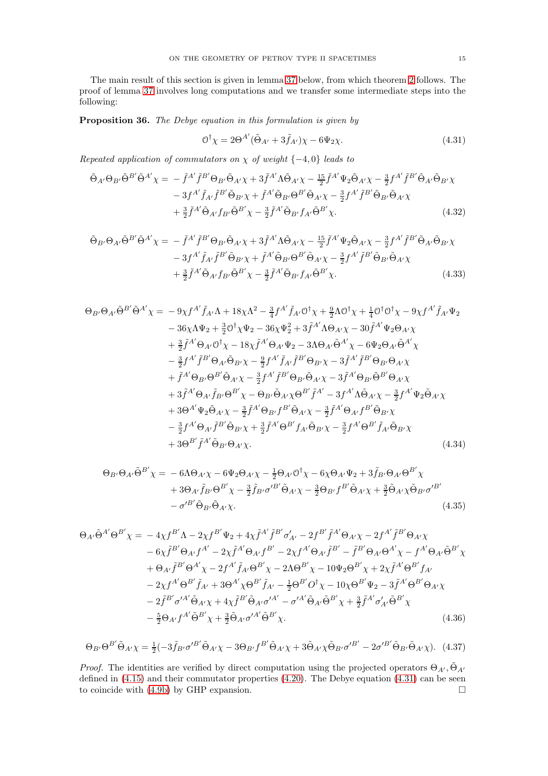The main result of this section is given in lemma [37](#page-15-0) below, from which theorem [2](#page-2-4) follows. The proof of lemma [37](#page-15-0) involves long computations and we transfer some intermediate steps into the following:

Proposition 36. The Debye equation in this formulation is given by

<span id="page-14-2"></span><span id="page-14-1"></span><span id="page-14-0"></span>
$$
\mathcal{O}^{\dagger}\chi = 2\Theta^{A'}(\tilde{\Theta}_{A'} + 3\tilde{f}_{A'})\chi - 6\Psi_2\chi.
$$
\n(4.31)

Repeated application of commutators on  $\chi$  of weight {-4,0} leads to

$$
\tilde{\Theta}_{A'}\Theta_{B'}\tilde{\Theta}^{B'}\tilde{\Theta}^{A'}\chi = -\tilde{f}^{A'}\tilde{f}^{B'}\Theta_{B'}\tilde{\Theta}_{A'}\chi + 3\tilde{f}^{A'}\Lambda\tilde{\Theta}_{A'}\chi - \frac{15}{2}\tilde{f}^{A'}\Psi_{2}\tilde{\Theta}_{A'}\chi - \frac{3}{2}f^{A'}\tilde{f}^{B'}\tilde{\Theta}_{A'}\tilde{\Theta}_{B'}\chi \n- 3f^{A'}\tilde{f}_{A'}\tilde{f}^{B'}\tilde{\Theta}_{B'}\chi + \tilde{f}^{A'}\tilde{\Theta}_{B'}\Theta^{B'}\tilde{\Theta}_{A'}\chi - \frac{3}{2}f^{A'}\tilde{f}^{B'}\tilde{\Theta}_{B'}\tilde{\Theta}_{A'}\chi \n+ \frac{3}{2}\tilde{f}^{A'}\tilde{\Theta}_{A'}f_{B'}\tilde{\Theta}^{B'}\chi - \frac{3}{2}\tilde{f}^{A'}\tilde{\Theta}_{B'}f_{A'}\tilde{\Theta}^{B'}\chi.
$$
\n(4.32)

$$
\tilde{\Theta}_{B'}\Theta_{A'}\tilde{\Theta}^{B'}\tilde{\Theta}^{A'}\chi = -\tilde{f}^{A'}\tilde{f}^{B'}\Theta_{B'}\tilde{\Theta}_{A'}\chi + 3\tilde{f}^{A'}\Lambda\tilde{\Theta}_{A'}\chi - \frac{15}{2}\tilde{f}^{A'}\Psi_{2}\tilde{\Theta}_{A'}\chi - \frac{3}{2}f^{A'}\tilde{f}^{B'}\tilde{\Theta}_{A'}\tilde{\Theta}_{B'}\chi \n- 3f^{A'}\tilde{f}_{A'}\tilde{f}^{B'}\tilde{\Theta}_{B'}\chi + \tilde{f}^{A'}\tilde{\Theta}_{B'}\Theta^{B'}\tilde{\Theta}_{A'}\chi - \frac{3}{2}f^{A'}\tilde{f}^{B'}\tilde{\Theta}_{B'}\tilde{\Theta}_{A'}\chi \n+ \frac{3}{2}\tilde{f}^{A'}\tilde{\Theta}_{A'}f_{B'}\tilde{\Theta}^{B'}\chi - \frac{3}{2}\tilde{f}^{A'}\tilde{\Theta}_{B'}f_{A'}\tilde{\Theta}^{B'}\chi.
$$
\n(4.33)

$$
\Theta_{B'}\Theta_{A'}\tilde{\Theta}^{B'}\tilde{\Theta}^{A'}\chi = -9\chi f^{A'}\tilde{f}_{A'}\Lambda + 18\chi\Lambda^2 - \frac{3}{4}f^{A'}\tilde{f}_{A'}\mathbf{0}^\dagger\chi + \frac{9}{2}\Lambda\mathbf{0}^\dagger\chi + \frac{1}{4}\mathbf{0}^\dagger\mathbf{0}^\dagger\chi - 9\chi f^{A'}\tilde{f}_{A'}\Psi_2 \n- 36\chi\Lambda\Psi_2 + \frac{3}{2}\mathbf{0}^\dagger\chi\Psi_2 - 36\chi\Psi_2^2 + 3\tilde{f}^{A'}\Lambda\Theta_{A'}\chi - 30\tilde{f}^{A'}\Psi_2\Theta_{A'}\chi \n+ \frac{3}{2}\tilde{f}^{A'}\Theta_{A'}\mathbf{0}^\dagger\chi - 18\chi\tilde{f}^{A'}\Theta_{A'}\Psi_2 - 3\Lambda\Theta_{A'}\tilde{\Theta}^{A'}\chi - 6\Psi_2\Theta_{A'}\tilde{\Theta}^{A'}\chi \n- \frac{3}{2}f^{A'}\tilde{f}^{B'}\Theta_{A'}\tilde{\Theta}_{B'}\chi - \frac{9}{2}f^{A'}\tilde{f}_{A'}\tilde{f}^{B'}\Theta_{B'}\chi - 3\tilde{f}^{A'}\tilde{f}^{B'}\Theta_{B'}\Theta_{A'}\chi \n+ \tilde{f}^{A'}\Theta_{B'}\Theta^{B'}\tilde{\Theta}_{A'}\chi - \frac{3}{2}f^{A'}\tilde{f}^{B'}\Theta_{B'}\tilde{\Theta}_{A'}\chi - 3\tilde{f}^{A'}\Theta_{B'}\tilde{\Theta}^{B'}\Theta_{A'}\chi \n+ 3\tilde{f}^{A'}\Theta_{A'}\tilde{f}_{B'}\Theta^{B'}\chi - \Theta_{B'}\tilde{\Theta}_{A'}\chi\Theta^{B'}\tilde{f}^{A'} - 3f^{A'}\Lambda\tilde{\Theta}_{A'}\chi - \frac{3}{2}f^{A'}\Psi_2\tilde{\Theta}_{A'}\chi \n+ 3\Theta^{A'}\Psi_2\tilde{\Theta}_{A'}\chi - \frac{3}{2}\tilde{f}^{A'}\Theta_{B'}f^{B'}\tilde{\Theta}_{A'}\chi - \frac{3}{2}\tilde{f}^{A'}\Theta_{
$$

<span id="page-14-4"></span><span id="page-14-3"></span>
$$
\Theta_{B'}\Theta_{A'}\tilde{\Theta}^{B'}\chi = -6\Lambda\Theta_{A'}\chi - 6\Psi_2\Theta_{A'}\chi - \frac{1}{2}\Theta_{A'}\mathcal{O}^{\dagger}\chi - 6\chi\Theta_{A'}\Psi_2 + 3\tilde{f}_{B'}\Theta_{A'}\Theta^{B'}\chi
$$
  
+ 3\Theta\_{A'}\tilde{f}\_{B'}\Theta^{B'}\chi - \frac{3}{2}\tilde{f}\_{B'}\sigma'^{B'}\tilde{\Theta}\_{A'}\chi - \frac{3}{2}\Theta\_{B'}f^{B'}\tilde{\Theta}\_{A'}\chi + \frac{3}{2}\tilde{\Theta}\_{A'}\chi\tilde{\Theta}\_{B'}\sigma'^{B'}  
- \sigma'^{B'}\tilde{\Theta}\_{B'}\tilde{\Theta}\_{A'}\chi. (4.35)

$$
\Theta_{A'}\tilde{\Theta}^{A'}\Theta^{B'}\chi = -4\chi f^{B'}\Lambda - 2\chi f^{B'}\Psi_2 + 4\chi \tilde{f}^{A'}\tilde{f}^{B'}\sigma'_{A'} - 2f^{B'}\tilde{f}^{A'}\Theta_{A'}\chi - 2f^{A'}\tilde{f}^{B'}\Theta_{A'}\chi
$$
  
\n
$$
-6\chi \tilde{f}^{B'}\Theta_{A'}f^{A'} - 2\chi \tilde{f}^{A'}\Theta_{A'}f^{B'} - 2\chi f^{A'}\Theta_{A'}\tilde{f}^{B'} - \tilde{f}^{B'}\Theta_{A'}\Theta^{A'}\chi - f^{A'}\Theta_{A'}\tilde{\Theta}^{B'}\chi
$$
  
\n
$$
+ \Theta_{A'}\tilde{f}^{B'}\Theta^{A'}\chi - 2f^{A'}\tilde{f}_{A'}\Theta^{B'}\chi - 2\Lambda\Theta^{B'}\chi - 10\Psi_2\Theta^{B'}\chi + 2\chi \tilde{f}^{A'}\Theta^{B'}f_{A'}
$$
  
\n
$$
-2\chi f^{A'}\Theta^{B'}\tilde{f}_{A'} + 3\Theta^{A'}\chi\Theta^{B'}\tilde{f}_{A'} - \frac{1}{2}\Theta^{B'}\mathcal{O}^{\dagger}\chi - 10\chi\Theta^{B'}\Psi_2 - 3\tilde{f}^{A'}\Theta^{B'}\Theta_{A'}\chi
$$
  
\n
$$
-2\tilde{f}^{B'}\sigma'^{A'}\tilde{\Theta}_{A'}\chi + 4\chi \tilde{f}^{B'}\tilde{\Theta}_{A'}\sigma'^{A'} - \sigma'^{A'}\tilde{\Theta}_{A'}\tilde{\Theta}^{B'}\chi + \frac{3}{2}\tilde{f}^{A'}\sigma'_{A'}\tilde{\Theta}^{B'}\chi
$$
  
\n
$$
- \frac{5}{2}\Theta_{A'}f^{A'}\tilde{\Theta}^{B'}\chi + \frac{3}{2}\tilde{\Theta}_{A'}\sigma'^{A'}\tilde{\Theta}^{B'}\chi.
$$
  
\n(4.36)

<span id="page-14-6"></span><span id="page-14-5"></span>
$$
\Theta_{B'}\Theta^{B'}\tilde{\Theta}_{A'}\chi = \frac{1}{2}(-3\tilde{f}_{B'}\sigma'^{B'}\tilde{\Theta}_{A'}\chi - 3\Theta_{B'}f^{B'}\tilde{\Theta}_{A'}\chi + 3\tilde{\Theta}_{A'}\chi\tilde{\Theta}_{B'}\sigma'^{B'} - 2\sigma'^{B'}\tilde{\Theta}_{B'}\tilde{\Theta}_{A'}\chi). \tag{4.37}
$$

*Proof.* The identities are verified by direct computation using the projected operators  $\Theta_{A'}$ ,  $\tilde{\Theta}_{A'}$ defined in [\(4.15\)](#page-12-2) and their commutator properties [\(4.20\)](#page-12-6). The Debye equation [\(4.31\)](#page-14-0) can be seen to coincide with [\(4.9b\)](#page-11-10) by GHP expansion.  $\Box$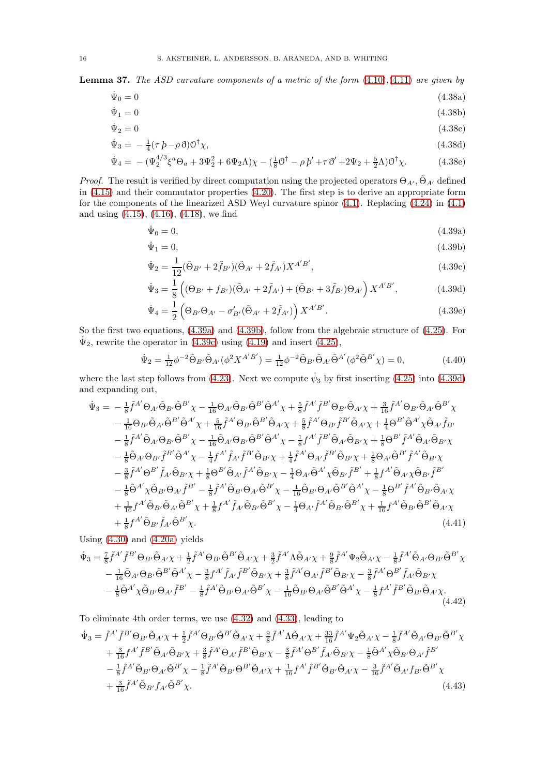<span id="page-15-0"></span>**Lemma 37.** The ASD curvature components of a metric of the form  $(4.10),(4.11)$  $(4.10),(4.11)$  $(4.10),(4.11)$  are given by

$$
\dot{\Psi}_0 = 0 \tag{4.38a}
$$

$$
\dot{\Psi}_1 = 0 \tag{4.38b}
$$

$$
\dot{\Psi}_2 = 0\tag{4.38c}
$$

$$
\dot{\Psi}_3 = -\frac{1}{4}(\tau \, b - \rho \, \eth) \mathcal{O}^\dagger \chi,\tag{4.38d}
$$

$$
\dot{\Psi}_4 = -(\Psi_2^{4/3} \xi^a \Theta_a + 3\Psi_2^2 + 6\Psi_2 \Lambda) \chi - (\frac{1}{8} 0^{\dagger} - \rho \, \dot{p}' + \tau \, \ddot{\sigma}' + 2\Psi_2 + \frac{5}{2} \Lambda) 0^{\dagger} \chi. \tag{4.38e}
$$

*Proof.* The result is verified by direct computation using the projected operators  $\Theta_{A'}$ ,  $\tilde{\Theta}_{A'}$  defined in [\(4.15\)](#page-12-2) and their commutator properties [\(4.20\)](#page-12-6). The first step is to derive an appropriate form for the components of the linearized ASD Weyl curvature spinor [\(4.1\)](#page-11-1). Replacing [\(4.24\)](#page-13-0) in [\(4.1\)](#page-11-1) and using [\(4.15\)](#page-12-2), [\(4.16\)](#page-12-7), [\(4.18\)](#page-12-8), we find

<span id="page-15-7"></span><span id="page-15-5"></span><span id="page-15-2"></span><span id="page-15-1"></span>
$$
\dot{\Psi}_0 = 0,\tag{4.39a}
$$

$$
\dot{\Psi}_1 = 0,\tag{4.39b}
$$

<span id="page-15-3"></span>
$$
\dot{\Psi}_2 = \frac{1}{12} (\tilde{\Theta}_{B'} + 2\tilde{f}_{B'}) (\tilde{\Theta}_{A'} + 2\tilde{f}_{A'}) X^{A'B'},
$$
\n(4.39c)

<span id="page-15-4"></span>
$$
\dot{\Psi}_3 = \frac{1}{8} \left( (\Theta_{B'} + f_{B'}) (\tilde{\Theta}_{A'} + 2\tilde{f}_{A'}) + (\tilde{\Theta}_{B'} + 3\tilde{f}_{B'}) \Theta_{A'} \right) X^{A'B'}, \tag{4.39d}
$$

<span id="page-15-6"></span>
$$
\dot{\Psi}_4 = \frac{1}{2} \left( \Theta_{B'} \Theta_{A'} - \sigma'_{B'} (\tilde{\Theta}_{A'} + 2\tilde{f}_{A'}) \right) X^{A'B'}.
$$
\n(4.39e)

So the first two equations, [\(4.39a\)](#page-15-1) and [\(4.39b\)](#page-15-2), follow from the algebraic structure of [\(4.25\)](#page-13-2). For  $\dot{\Psi}_2$ , rewrite the operator in [\(4.39c\)](#page-15-3) using [\(4.19\)](#page-12-9) and insert [\(4.25\)](#page-13-2),

$$
\dot{\Psi}_2 = \frac{1}{12} \phi^{-2} \tilde{\Theta}_{B'} \tilde{\Theta}_{A'} (\phi^2 X^{A'B'}) = \frac{1}{12} \phi^{-2} \tilde{\Theta}_{B'} \tilde{\Theta}_{A'} \tilde{\Theta}^{A'} (\phi^2 \tilde{\Theta}^{B'} \chi) = 0, \tag{4.40}
$$

where the last step follows from [\(4.23\)](#page-13-3). Next we compute  $\dot{\psi}_3$  by first inserting [\(4.25\)](#page-13-2) into [\(4.39d\)](#page-15-4) and expanding out,

$$
\dot{\Psi}_{3} = -\frac{1}{8}\tilde{f}^{A'}\Theta_{A'}\tilde{\Theta}_{B'}\tilde{\Theta}^{B'}\chi - \frac{1}{16}\Theta_{A'}\tilde{\Theta}_{B'}\tilde{\Theta}^{B'}\tilde{\Theta}^{A'}\chi + \frac{5}{8}\tilde{f}^{A'}\tilde{f}^{B'}\Theta_{B'}\tilde{\Theta}_{A'}\chi + \frac{3}{16}\tilde{f}^{A'}\Theta_{B'}\tilde{\Theta}_{A'}\tilde{\Theta}^{B'}\chi \n- \frac{1}{16}\Theta_{B'}\tilde{\Theta}_{A'}\tilde{\Theta}^{B'}\tilde{\Theta}^{A'}\chi + \frac{5}{16}\tilde{f}^{A'}\Theta_{B'}\tilde{\Theta}^{B'}\tilde{\Theta}_{A'}\chi + \frac{5}{8}\tilde{f}^{A'}\Theta_{B'}\tilde{f}^{B'}\tilde{\Theta}_{A'}\chi + \frac{1}{4}\Theta^{B'}\tilde{\Theta}^{A'}\chi\tilde{\Theta}_{A'}\tilde{f}_{B'} \n- \frac{1}{8}\tilde{f}^{A'}\tilde{\Theta}_{A'}\Theta_{B'}\tilde{\Theta}^{B'}\chi - \frac{1}{16}\tilde{\Theta}_{A'}\Theta_{B'}\tilde{\Theta}^{B'}\tilde{\Theta}^{A'}\chi - \frac{1}{8}f^{A'}\tilde{f}^{B'}\tilde{\Theta}_{A'}\tilde{\Theta}_{B'}\chi + \frac{1}{8}\Theta^{B'}\tilde{f}^{A'}\tilde{\Theta}_{A'}\tilde{\Theta}_{B'}\chi \n- \frac{1}{8}\tilde{\Theta}_{A'}\Theta_{B'}\tilde{f}^{B'}\tilde{\Theta}^{A'}\chi - \frac{1}{4}f^{A'}\tilde{f}_{A'}\tilde{f}^{B'}\tilde{\Theta}_{B'}\chi + \frac{1}{4}\tilde{f}^{A'}\Theta_{A'}\tilde{f}^{B'}\tilde{\Theta}_{B'}\chi + \frac{1}{8}\Theta_{A'}\tilde{\Theta}^{B'}\tilde{f}^{A'}\tilde{\Theta}_{B'}\chi \n- \frac{3}{8}\tilde{f}^{A'}\Theta^{B'}\tilde{f}_{A'}\tilde{\Theta}_{B'}\chi + \frac{1}{8}\Theta^{B'}\tilde{\Theta}_{A'}\tilde{f}^{A'}\tilde{\Theta}_{B'}\chi - \frac{1}{4}\Theta_{A'}\tilde{\Theta
$$

Using  $(4.30)$  and  $(4.20a)$  yields

$$
\dot{\Psi}_{3} = \frac{7}{8} \tilde{f}^{A'} \tilde{f}^{B'} \Theta_{B'} \tilde{\Theta}_{A'} \chi + \frac{1}{2} \tilde{f}^{A'} \Theta_{B'} \tilde{\Theta}^{B'} \tilde{\Theta}_{A'} \chi + \frac{3}{2} \tilde{f}^{A'} \Lambda \tilde{\Theta}_{A'} \chi + \frac{9}{8} \tilde{f}^{A'} \Psi_{2} \tilde{\Theta}_{A'} \chi - \frac{1}{8} \tilde{f}^{A'} \tilde{\Theta}_{A'} \Theta_{B'} \tilde{\Theta}^{B'} \chi \n- \frac{1}{16} \tilde{\Theta}_{A'} \Theta_{B'} \tilde{\Theta}^{B'} \tilde{\Theta}^{A'} \chi - \frac{3}{8} f^{A'} \tilde{f}_{A'} \tilde{f}^{B'} \tilde{\Theta}_{B'} \chi + \frac{3}{8} \tilde{f}^{A'} \Theta_{A'} \tilde{f}^{B'} \tilde{\Theta}_{B'} \chi - \frac{3}{8} \tilde{f}^{A'} \Theta^{B'} \tilde{f}_{A'} \tilde{\Theta}_{B'} \chi \n- \frac{1}{8} \tilde{\Theta}^{A'} \chi \tilde{\Theta}_{B'} \Theta_{A'} \tilde{f}^{B'} - \frac{1}{8} \tilde{f}^{A'} \tilde{\Theta}_{B'} \Theta_{A'} \tilde{\Theta}^{B'} \chi - \frac{1}{16} \tilde{\Theta}_{B'} \Theta_{A'} \tilde{\Theta}^{B'} \tilde{\Theta}^{A'} \chi - \frac{1}{8} f^{A'} \tilde{f}^{B'} \tilde{\Theta}_{B'} \tilde{\Theta}_{A'} \chi.
$$
\n(4.42)

To eliminate 4th order terms, we use [\(4.32\)](#page-14-1) and [\(4.33\)](#page-14-2), leading to

$$
\dot{\Psi}_{3} = \tilde{f}^{A'} \tilde{f}^{B'} \Theta_{B'} \tilde{\Theta}_{A'} \chi + \frac{1}{2} \tilde{f}^{A'} \Theta_{B'} \tilde{\Theta}^{B'} \tilde{\Theta}_{A'} \chi + \frac{9}{8} \tilde{f}^{A'} \Lambda \tilde{\Theta}_{A'} \chi + \frac{33}{16} \tilde{f}^{A'} \Psi_{2} \tilde{\Theta}_{A'} \chi - \frac{1}{8} \tilde{f}^{A'} \tilde{\Theta}_{A'} \Theta_{B'} \tilde{\Theta}^{B'} \chi \n+ \frac{3}{16} f^{A'} \tilde{f}^{B'} \tilde{\Theta}_{A'} \tilde{\Theta}_{B'} \chi + \frac{3}{8} \tilde{f}^{A'} \Theta_{A'} \tilde{f}^{B'} \tilde{\Theta}_{B'} \chi - \frac{3}{8} \tilde{f}^{A'} \Theta^{B'} \tilde{f}_{A'} \tilde{\Theta}_{B'} \chi - \frac{1}{8} \tilde{\Theta}^{A'} \chi \tilde{\Theta}_{B'} \Theta_{A'} \tilde{f}^{B'} \n- \frac{1}{8} \tilde{f}^{A'} \tilde{\Theta}_{B'} \Theta_{A'} \tilde{\Theta}^{B'} \chi - \frac{1}{8} \tilde{f}^{A'} \tilde{\Theta}_{B'} \Theta^{B'} \tilde{\Theta}_{A'} \chi + \frac{1}{16} f^{A'} \tilde{f}^{B'} \tilde{\Theta}_{B'} \tilde{\Theta}_{A'} \chi - \frac{3}{16} \tilde{f}^{A'} \tilde{\Theta}_{A'} f_{B'} \tilde{\Theta}^{B'} \chi \n+ \frac{3}{16} \tilde{f}^{A'} \tilde{\Theta}_{B'} f_{A'} \tilde{\Theta}^{B'} \chi.
$$
\n(4.43)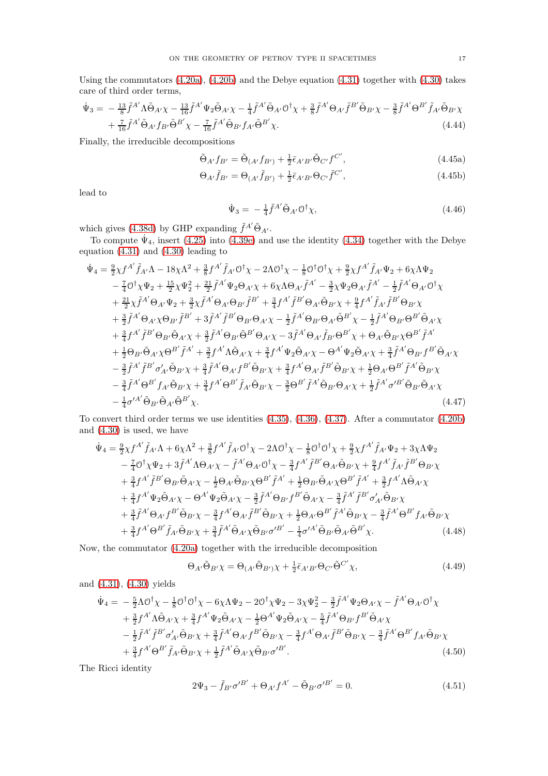Using the commutators [\(4.20a\)](#page-12-3), [\(4.20b\)](#page-12-10) and the Debye equation [\(4.31\)](#page-14-0) together with [\(4.30\)](#page-13-4) takes care of third order terms,

$$
\dot{\Psi}_{3} = -\frac{13}{8} \tilde{f}^{A} \Lambda \tilde{\Theta}_{A'} \chi - \frac{13}{16} \tilde{f}^{A'} \Psi_{2} \tilde{\Theta}_{A'} \chi - \frac{1}{4} \tilde{f}^{A'} \tilde{\Theta}_{A'} \mathcal{O}^{\dagger} \chi + \frac{3}{8} \tilde{f}^{A'} \Theta_{A'} \tilde{f}^{B'} \tilde{\Theta}_{B'} \chi - \frac{3}{8} \tilde{f}^{A'} \Theta^{B'} \tilde{f}_{A'} \tilde{\Theta}_{B'} \chi + \frac{7}{16} \tilde{f}^{A'} \tilde{\Theta}_{A'} f_{B'} \tilde{\Theta}^{B'} \chi - \frac{7}{16} \tilde{f}^{A'} \tilde{\Theta}_{B'} f_{A'} \tilde{\Theta}^{B'} \chi.
$$
\n(4.44)

Finally, the irreducible decompositions

$$
\tilde{\Theta}_{A'} f_{B'} = \tilde{\Theta}_{(A'} f_{B')} + \frac{1}{2} \bar{\epsilon}_{A'B'} \tilde{\Theta}_{C'} f^{C'}, \qquad (4.45a)
$$

$$
\Theta_{A'}\tilde{f}_{B'} = \Theta_{(A'}\tilde{f}_{B')} + \frac{1}{2}\bar{\epsilon}_{A'B'}\Theta_{C'}\tilde{f}^{C'},\tag{4.45b}
$$

lead to

<span id="page-16-0"></span>
$$
\dot{\Psi}_3 = -\frac{1}{4} \tilde{f}^{A'} \tilde{\Theta}_{A'} \mathcal{O}^\dagger \chi, \tag{4.46}
$$

which gives [\(4.38d\)](#page-15-5) by GHP expanding  $\tilde{f}^{A'}\tilde{\Theta}_{A'}$ .

To compute  $\Psi_4$ , insert [\(4.25\)](#page-13-2) into [\(4.39e\)](#page-15-6) and use the identity [\(4.34\)](#page-14-3) together with the Debye equation [\(4.31\)](#page-14-0) and [\(4.30\)](#page-13-4) leading to

$$
\dot{\Psi}_{4} = \frac{9}{2}\chi f^{A'}\tilde{f}_{A'}\Lambda - 18\chi\Lambda^{2} + \frac{3}{8}f^{A'}\tilde{f}_{A'}\mathcal{O}^{\dagger}\chi - 2\Lambda\mathcal{O}^{\dagger}\chi - \frac{1}{8}\mathcal{O}^{\dagger}\mathcal{O}^{\dagger}\chi + \frac{9}{2}\chi f^{A'}\tilde{f}_{A'}\Psi_{2} + 6\chi\Lambda\Psi_{2} \n- \frac{7}{4}\mathcal{O}^{\dagger}\chi\Psi_{2} + \frac{15}{2}\chi\Psi_{2}^{2} + \frac{21}{2}\tilde{f}^{A'}\Psi_{2}\Theta_{A'}\chi + 6\chi\Lambda\Theta_{A'}\tilde{f}^{A'} - \frac{3}{2}\chi\Psi_{2}\Theta_{A'}\tilde{f}^{A'} - \frac{1}{2}\tilde{f}^{A'}\Theta_{A'}\mathcal{O}^{\dagger}\chi \n+ \frac{21}{2}\chi\tilde{f}^{A'}\Theta_{A'}\Psi_{2} + \frac{3}{2}\chi\tilde{f}^{A'}\Theta_{A'}\Theta_{B'}\tilde{f}^{B'} + \frac{3}{4}f^{A'}\tilde{f}^{B'}\Theta_{A}\tilde{\Theta}_{B'}\chi + \frac{9}{4}f^{A'}\tilde{f}_{A'}\tilde{f}^{B'}\Theta_{B'}\chi \n+ \frac{3}{2}\tilde{f}^{A'}\Theta_{A'}\chi\Theta_{B'}\tilde{f}^{B'} + 3\tilde{f}^{A'}\tilde{f}^{B'}\Theta_{B'}\Theta_{A'}\chi - \frac{1}{2}\tilde{f}^{A'}\Theta_{B'}\Theta_{A'}\tilde{\Theta}^{B'}\chi - \frac{1}{2}\tilde{f}^{A'}\Theta_{B'}\Theta^{B'}\tilde{\Theta}_{A'}\chi \n+ \frac{3}{4}f^{A'}\tilde{f}^{B'}\Theta_{B'}\tilde{\Theta}_{A'}\chi + \frac{3}{2}\tilde{f}^{A'}\Theta_{B'}\tilde{\Theta}^{B'}\Theta_{A'}\chi - 3\tilde{f}^{A'}\Theta_{A'}\tilde{f}_{B'}\Theta^{B'}\chi + \Theta_{A'}\tilde{\Theta}_{B'}\chi\Theta^{B'}\tilde{f}^{A'} \n+ \frac{1}{2}\Theta_{B'}\tilde{\Theta
$$

To convert third order terms we use identities [\(4.35\)](#page-14-4), [\(4.36\)](#page-14-5), [\(4.37\)](#page-14-6). After a commutator [\(4.20b\)](#page-12-10) and [\(4.30\)](#page-13-4) is used, we have

$$
\dot{\Psi}_{4} = \frac{9}{2}\chi f^{A'}\tilde{f}_{A'}\Lambda + 6\chi\Lambda^{2} + \frac{3}{8}f^{A'}\tilde{f}_{A'}\mathcal{O}^{\dagger}\chi - 2\Lambda\mathcal{O}^{\dagger}\chi - \frac{1}{8}\mathcal{O}^{\dagger}\mathcal{O}^{\dagger}\chi + \frac{9}{2}\chi f^{A'}\tilde{f}_{A'}\Psi_{2} + 3\chi\Lambda\Psi_{2} \n- \frac{7}{4}\mathcal{O}^{\dagger}\chi\Psi_{2} + 3\tilde{f}^{A'}\Lambda\Theta_{A'}\chi - \tilde{f}^{A'}\Theta_{A'}\mathcal{O}^{\dagger}\chi - \frac{3}{4}f^{A'}\tilde{f}^{B'}\Theta_{A'}\tilde{\Theta}_{B'}\chi + \frac{9}{4}f^{A'}\tilde{f}_{A'}\tilde{f}^{B'}\Theta_{B'}\chi \n+ \frac{3}{4}f^{A'}\tilde{f}^{B'}\Theta_{B'}\tilde{\Theta}_{A'}\chi - \frac{1}{2}\Theta_{A'}\tilde{\Theta}_{B'}\chi\Theta^{B'}\tilde{f}^{A'} + \frac{1}{2}\Theta_{B'}\tilde{\Theta}_{A'}\chi\Theta^{B'}\tilde{f}^{A'} + \frac{3}{2}f^{A'}\Lambda\tilde{\Theta}_{A'}\chi \n+ \frac{3}{4}f^{A'}\Psi_{2}\tilde{\Theta}_{A'}\chi - \Theta^{A'}\Psi_{2}\tilde{\Theta}_{A'}\chi - \frac{3}{2}\tilde{f}^{A'}\Theta_{B'}f^{B'}\tilde{\Theta}_{A'}\chi - \frac{3}{4}\tilde{f}^{A'}\tilde{f}^{B'}\sigma'_{A'}\tilde{\Theta}_{B'}\chi \n+ \frac{3}{4}\tilde{f}^{A'}\Theta_{A'}f^{B'}\tilde{\Theta}_{B'}\chi - \frac{3}{4}f^{A'}\Theta_{A'}\tilde{f}^{B'}\tilde{\Theta}_{B'}\chi + \frac{1}{2}\Theta_{A'}\Theta^{B'}\tilde{f}^{A'}\tilde{\Theta}_{B'}\chi - \frac{3}{4}\tilde{f}^{A'}\Theta^{B'}f_{A'}\tilde{\Theta}_{B'}\chi \n+ \frac{3}{4}f^{A'}\Theta^{B'}\tilde{f}_{A'}\tilde{\Theta}_{B'}\chi + \frac{3}{4}\til
$$

Now, the commutator [\(4.20a\)](#page-12-3) together with the irreducible decomposition

$$
\Theta_{A'}\tilde{\Theta}_{B'}\chi = \Theta_{(A'}\tilde{\Theta}_{B')}\chi + \frac{1}{2}\bar{\epsilon}_{A'B'}\Theta_{C'}\tilde{\Theta}^{C'}\chi,\tag{4.49}
$$

and [\(4.31\)](#page-14-0), [\(4.30\)](#page-13-4) yields

$$
\dot{\Psi}_{4} = -\frac{5}{2}\Lambda \mathcal{O}^{\dagger} \chi - \frac{1}{8} \mathcal{O}^{\dagger} \mathcal{O}^{\dagger} \chi - 6\chi \Lambda \Psi_{2} - 2\mathcal{O}^{\dagger} \chi \Psi_{2} - 3\chi \Psi_{2}^{2} - \frac{3}{2} \tilde{f}^{A'} \Psi_{2} \Theta_{A'} \chi - \tilde{f}^{A'} \Theta_{A'} \mathcal{O}^{\dagger} \chi \n+ \frac{3}{2} f^{A'} \Lambda \tilde{\Theta}_{A'} \chi + \frac{3}{4} f^{A'} \Psi_{2} \tilde{\Theta}_{A'} \chi - \frac{1}{2} \Theta^{A'} \Psi_{2} \tilde{\Theta}_{A'} \chi - \frac{5}{4} \tilde{f}^{A'} \Theta_{B'} f^{B'} \tilde{\Theta}_{A'} \chi \n- \frac{1}{2} \tilde{f}^{A'} \tilde{f}^{B'} \sigma'_{A'} \tilde{\Theta}_{B'} \chi + \frac{3}{4} \tilde{f}^{A'} \Theta_{A'} f^{B'} \tilde{\Theta}_{B'} \chi - \frac{3}{4} f^{A'} \Theta_{A'} \tilde{f}^{B'} \tilde{\Theta}_{B'} \chi - \frac{3}{4} \tilde{f}^{A'} \Theta^{B'} f_{A'} \tilde{\Theta}_{B'} \chi \n+ \frac{3}{4} f^{A'} \Theta^{B'} \tilde{f}_{A'} \tilde{\Theta}_{B'} \chi + \frac{1}{2} \tilde{f}^{A'} \tilde{\Theta}_{A'} \chi \tilde{\Theta}_{B'} \sigma'^{B'}.
$$
\n(4.50)

The Ricci identity

$$
2\Psi_3 - \tilde{f}_{B'}\sigma'^{B'} + \Theta_{A'}f^{A'} - \tilde{\Theta}_{B'}\sigma'^{B'} = 0.
$$
 (4.51)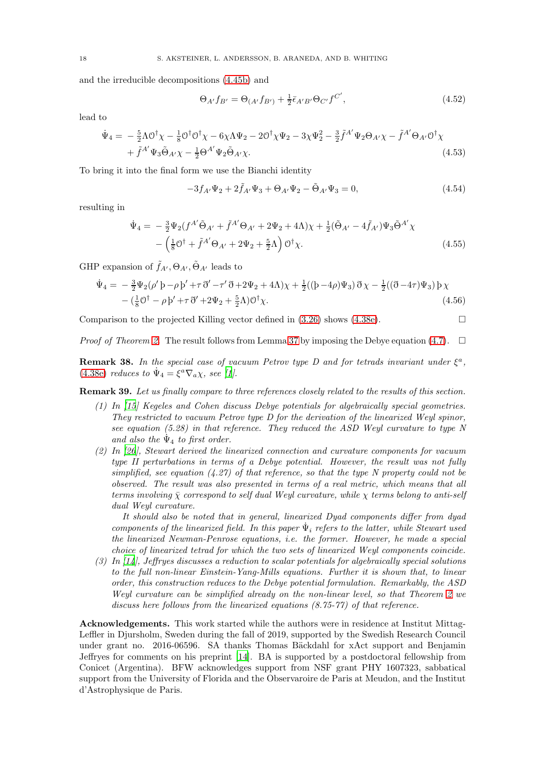and the irreducible decompositions [\(4.45b\)](#page-16-0) and

$$
\Theta_{A'} f_{B'} = \Theta_{(A'} f_{B')} + \frac{1}{2} \bar{\epsilon}_{A'B'} \Theta_{C'} f^{C'}, \qquad (4.52)
$$

lead to

$$
\dot{\Psi}_4 = -\frac{5}{2}\Lambda \mathcal{O}^{\dagger} \chi - \frac{1}{8} \mathcal{O}^{\dagger} \mathcal{O}^{\dagger} \chi - 6\chi \Lambda \Psi_2 - 2\mathcal{O}^{\dagger} \chi \Psi_2 - 3\chi \Psi_2^2 - \frac{3}{2} \tilde{f}^{A'} \Psi_2 \Theta_{A'} \chi - \tilde{f}^{A'} \Theta_{A'} \mathcal{O}^{\dagger} \chi + \tilde{f}^{A'} \Psi_3 \tilde{\Theta}_{A'} \chi - \frac{1}{2} \Theta^{A'} \Psi_2 \tilde{\Theta}_{A'} \chi.
$$
\n(4.53)

To bring it into the final form we use the Bianchi identity

$$
-3f_{A'}\Psi_2 + 2\tilde{f}_{A'}\Psi_3 + \Theta_{A'}\Psi_2 - \tilde{\Theta}_{A'}\Psi_3 = 0, \qquad (4.54)
$$

resulting in

$$
\dot{\Psi}_4 = -\frac{3}{2}\Psi_2(f^{A'}\tilde{\Theta}_{A'} + \tilde{f}^{A'}\Theta_{A'} + 2\Psi_2 + 4\Lambda)\chi + \frac{1}{2}(\tilde{\Theta}_{A'} - 4\tilde{f}_{A'})\Psi_3\tilde{\Theta}^{A'}\chi \n- \left(\frac{1}{8}\mathcal{O}^\dagger + \tilde{f}^{A'}\Theta_{A'} + 2\Psi_2 + \frac{5}{2}\Lambda\right)\mathcal{O}^\dagger\chi.
$$
\n(4.55)

GHP expansion of  $\tilde{f}_{A}, \Theta_{A}, \tilde{\Theta}_{A'}$  leads to

$$
\dot{\Psi}_{4} = -\frac{3}{2}\Psi_{2}(\rho' \rho - \rho' + \tau \vec{\partial}' - \tau' \vec{\partial} + 2\Psi_{2} + 4\Lambda)\chi + \frac{1}{2}((\rho - 4\rho)\Psi_{3})\vec{\partial}\chi - \frac{1}{2}((\vec{\partial} - 4\tau)\Psi_{3})\rho\chi - (\frac{1}{8}\mathcal{O}^{\dagger} - \rho'\rho' + \tau \vec{\partial}' + 2\Psi_{2} + \frac{5}{2}\Lambda)\mathcal{O}^{\dagger}\chi.
$$
\n(4.56)

Comparison to the projected Killing vector defined in  $(3.26)$  shows  $(4.38e)$ .

*Proof of Theorem [2.](#page-2-4)* The result follows from Lemma [37](#page-15-0) by imposing the Debye equation [\(4.7\)](#page-11-6).  $\Box$ 

**Remark 38.** In the special case of vacuum Petrov type D and for tetrads invariant under  $\xi^a$ , [\(4.38e\)](#page-15-7) reduces to  $\dot{\Psi}_4 = \xi^a \nabla_a \chi$ , see [\[1\]](#page-18-6).

<span id="page-17-0"></span>Remark 39. Let us finally compare to three references closely related to the results of this section.

- (1) In [\[15](#page-19-2)] Kegeles and Cohen discuss Debye potentials for algebraically special geometries. They restricted to vacuum Petrov type D for the derivation of the linearized Weyl spinor, see equation (5.28) in that reference. They reduced the ASD Weyl curvature to type N and also the  $\Psi_4$  to first order.
- (2) In [\[26](#page-19-1)], Stewart derived the linearized connection and curvature components for vacuum type II perturbations in terms of a Debye potential. However, the result was not fully simplified, see equation  $(4.27)$  of that reference, so that the type N property could not be observed. The result was also presented in terms of a real metric, which means that all terms involving  $\bar{\chi}$  correspond to self dual Weyl curvature, while  $\chi$  terms belong to anti-self dual Weyl curvature.

It should also be noted that in general, linearized Dyad components differ from dyad components of the linearized field. In this paper  $\dot{\Psi}_i$  refers to the latter, while Stewart used the linearized Newman-Penrose equations, i.e. the former. However, he made a special choice of linearized tetrad for which the two sets of linearized Weyl components coincide.

(3) In [\[14](#page-19-17)], Jeffryes discusses a reduction to scalar potentials for algebraically special solutions to the full non-linear Einstein-Yang-Mills equations. Further it is shown that, to linear order, this construction reduces to the Debye potential formulation. Remarkably, the ASD Weyl curvature can be simplified already on the non-linear level, so that Theorem [2](#page-2-4) we discuss here follows from the linearized equations (8.75-77) of that reference.

Acknowledgements. This work started while the authors were in residence at Institut Mittag-Leffler in Djursholm, Sweden during the fall of 2019, supported by the Swedish Research Council under grant no. 2016-06596. SA thanks Thomas Bäckdahl for xAct support and Benjamin Jeffryes for comments on his preprint [\[14\]](#page-19-17). BA is supported by a postdoctoral fellowship from Conicet (Argentina). BFW acknowledges support from NSF grant PHY 1607323, sabbatical support from the University of Florida and the Observaroire de Paris at Meudon, and the Institut d'Astrophysique de Paris.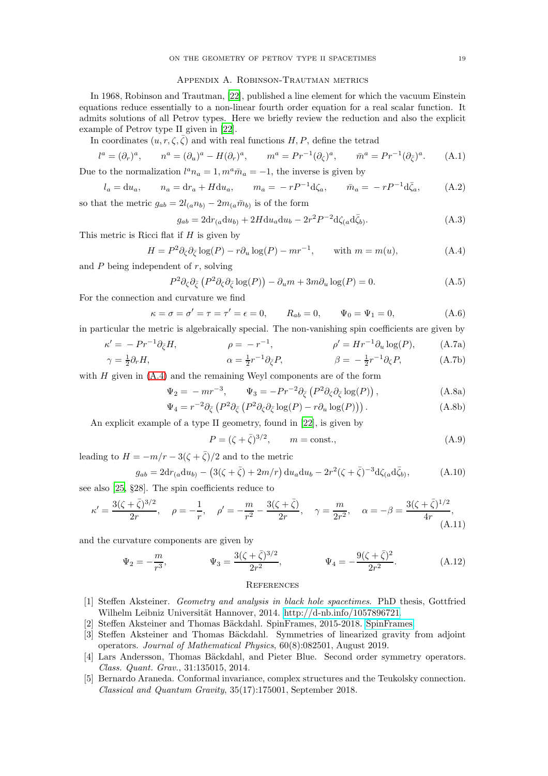## Appendix A. Robinson-Trautman metrics

<span id="page-18-2"></span>In 1968, Robinson and Trautman, [\[22\]](#page-19-24), published a line element for which the vacuum Einstein equations reduce essentially to a non-linear fourth order equation for a real scalar function. It admits solutions of all Petrov types. Here we briefly review the reduction and also the explicit example of Petrov type II given in [\[22](#page-19-24)].

In coordinates  $(u, r, \zeta, \overline{\zeta})$  and with real functions H, P, define the tetrad

$$
l^{a} = (\partial_{r})^{a}, \qquad n^{a} = (\partial_{u})^{a} - H(\partial_{r})^{a}, \qquad m^{a} = Pr^{-1}(\partial_{\zeta})^{a}, \qquad \bar{m}^{a} = Pr^{-1}(\partial_{\bar{\zeta}})^{a}.
$$
 (A.1)

Due to the normalization  $l^a n_a = 1, m^a \overline{m}_a = -1$ , the inverse is given by

$$
l_a = du_a
$$
,  $n_a = dr_a + H du_a$ ,  $m_a = -rP^{-1}d\zeta_a$ ,  $\bar{m}_a = -rP^{-1}d\bar{\zeta}_a$ , (A.2)

so that the metric  $g_{ab} = 2l_{(a}n_{b)} - 2m_{(a}\bar{m}_{b)}$  is of the form

<span id="page-18-7"></span>
$$
g_{ab} = 2\mathrm{d}r_{(a}\mathrm{d}u_{b)} + 2H\mathrm{d}u_{a}\mathrm{d}u_{b} - 2r^{2}P^{-2}\mathrm{d}\zeta_{(a}\mathrm{d}\bar{\zeta}_{b)}.
$$
 (A.3)

This metric is Ricci flat if  $H$  is given by

$$
H = P^2 \partial_{\zeta} \partial_{\bar{\zeta}} \log(P) - r \partial_u \log(P) - mr^{-1}, \quad \text{with } m = m(u), \tag{A.4}
$$

and  $P$  being independent of  $r$ , solving

$$
P^2 \partial_{\zeta} \partial_{\bar{\zeta}} \left( P^2 \partial_{\zeta} \partial_{\bar{\zeta}} \log(P) \right) - \partial_u m + 3m \partial_u \log(P) = 0. \tag{A.5}
$$

For the connection and curvature we find

$$
\kappa = \sigma = \sigma' = \tau = \tau' = \epsilon = 0,
$$
\n $R_{ab} = 0,$ \n $\Psi_0 = \Psi_1 = 0,$ \n(A.6)

in particular the metric is algebraically special. The non-vanishing spin coefficients are given by

$$
\kappa' = -Pr^{-1}\partial_{\zeta}H, \qquad \rho = -r^{-1}, \qquad \rho' = Hr^{-1}\partial_{u}\log(P), \qquad \text{(A.7a)}
$$

$$
\gamma = \frac{1}{2}\partial_{\zeta}H \qquad \alpha = \frac{1}{2}r^{-1}\partial_{u}P \qquad \beta = -\frac{1}{2}r^{-1}\partial_{u}P \qquad \text{(A.7b)}
$$

$$
\gamma = \frac{1}{2}\partial_r H, \qquad \alpha = \frac{1}{2}r^{-1}\partial_{\bar{\zeta}}P, \qquad \beta = -\frac{1}{2}r^{-1}\partial_{\zeta}P, \qquad (A.7b)
$$

with  $H$  given in  $(A.4)$  and the remaining Weyl components are of the form

$$
\Psi_2 = -mr^{-3}, \qquad \Psi_3 = -Pr^{-2}\partial_{\bar{\zeta}}\left(P^2\partial_{\zeta}\partial_{\bar{\zeta}}\log(P)\right), \tag{A.8a}
$$

$$
\Psi_4 = r^{-2} \partial_{\bar{\zeta}} \left( P^2 \partial_{\zeta} \partial_{\bar{\zeta}} \log(P) - r \partial_u \log(P) \right). \tag{A.8b}
$$

An explicit example of a type II geometry, found in [\[22](#page-19-24)], is given by

$$
P = (\zeta + \bar{\zeta})^{3/2}, \qquad m = \text{const.}, \tag{A.9}
$$

leading to  $H = -m/r - 3(\zeta + \bar{\zeta})/2$  and to the metric

$$
g_{ab} = 2\mathrm{d}r_{(a}\mathrm{d}u_{b)} - (3(\zeta + \bar{\zeta}) + 2m/r)\,\mathrm{d}u_{a}\mathrm{d}u_{b} - 2r^{2}(\zeta + \bar{\zeta})^{-3}\mathrm{d}\zeta_{(a}\mathrm{d}\bar{\zeta}_{b)},\tag{A.10}
$$

see also [\[25,](#page-19-25) §28]. The spin coefficients reduce to

$$
\kappa' = \frac{3(\zeta + \bar{\zeta})^{3/2}}{2r}, \quad \rho = -\frac{1}{r}, \quad \rho' = -\frac{m}{r^2} - \frac{3(\zeta + \bar{\zeta})}{2r}, \quad \gamma = \frac{m}{2r^2}, \quad \alpha = -\beta = \frac{3(\zeta + \bar{\zeta})^{1/2}}{4r},\tag{A.11}
$$

and the curvature components are given by

$$
\Psi_2 = -\frac{m}{r^3}, \qquad \Psi_3 = \frac{3(\zeta + \bar{\zeta})^{3/2}}{2r^2}, \qquad \Psi_4 = -\frac{9(\zeta + \bar{\zeta})^2}{2r^2}.
$$
\n(A.12)

### <span id="page-18-5"></span>**REFERENCES**

- <span id="page-18-6"></span>[1] Steffen Aksteiner. Geometry and analysis in black hole spacetimes. PhD thesis, Gottfried Wilhelm Leibniz Universität Hannover, 2014. [http://d-nb.info/1057896721.](http://d-nb.info/1057896721)
- <span id="page-18-3"></span>[2] Steffen Aksteiner and Thomas Bäckdahl. SpinFrames, 2015-2018. [SpinFrames.](http://xact.es/SpinFrames/)
- <span id="page-18-1"></span>[3] Steffen Aksteiner and Thomas Bäckdahl. Symmetries of linearized gravity from adjoint operators. Journal of Mathematical Physics, 60(8):082501, August 2019.
- <span id="page-18-0"></span>[4] Lars Andersson, Thomas Bäckdahl, and Pieter Blue. Second order symmetry operators. Class. Quant. Grav., 31:135015, 2014.
- <span id="page-18-4"></span>[5] Bernardo Araneda. Conformal invariance, complex structures and the Teukolsky connection. Classical and Quantum Gravity, 35(17):175001, September 2018.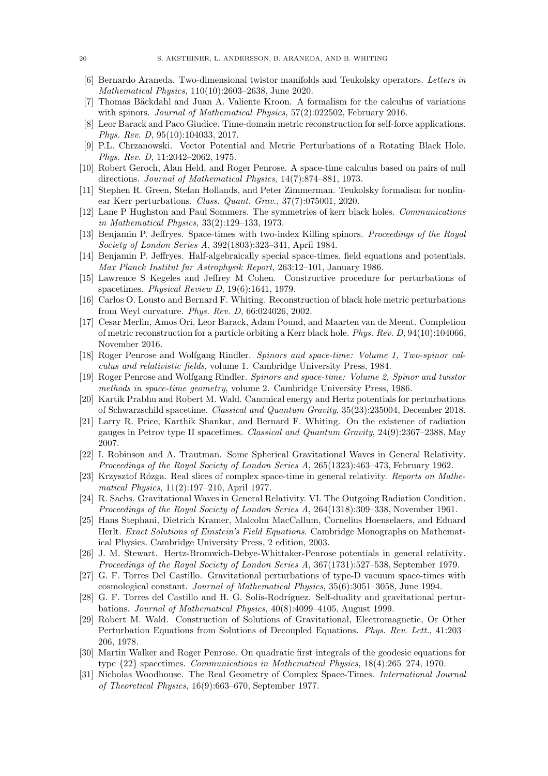- <span id="page-19-21"></span>[6] Bernardo Araneda. Two-dimensional twistor manifolds and Teukolsky operators. Letters in Mathematical Physics, 110(10):2603–2638, June 2020.
- <span id="page-19-23"></span>[7] Thomas Bäckdahl and Juan A. Valiente Kroon. A formalism for the calculus of variations with spinors. *Journal of Mathematical Physics*, 57(2):022502, February 2016.
- <span id="page-19-8"></span>[8] Leor Barack and Paco Giudice. Time-domain metric reconstruction for self-force applications. Phys. Rev. D, 95(10):104033, 2017.
- <span id="page-19-4"></span>[9] P.L. Chrzanowski. Vector Potential and Metric Perturbations of a Rotating Black Hole. Phys. Rev. D, 11:2042–2062, 1975.
- <span id="page-19-13"></span>[10] Robert Geroch, Alan Held, and Roger Penrose. A space-time calculus based on pairs of null directions. Journal of Mathematical Physics, 14(7):874–881, 1973.
- <span id="page-19-6"></span>[11] Stephen R. Green, Stefan Hollands, and Peter Zimmerman. Teukolsky formalism for nonlinear Kerr perturbations. Class. Quant. Grav., 37(7):075001, 2020.
- <span id="page-19-11"></span>[12] Lane P Hughston and Paul Sommers. The symmetries of kerr black holes. Communications in Mathematical Physics, 33(2):129–133, 1973.
- <span id="page-19-12"></span>[13] Benjamin P. Jeffryes. Space-times with two-index Killing spinors. Proceedings of the Royal Society of London Series A, 392(1803):323–341, April 1984.
- <span id="page-19-17"></span>[14] Benjamin P. Jeffryes. Half-algebraically special space-times, field equations and potentials. Max Planck Institut fur Astrophysik Report, 263:12–101, January 1986.
- <span id="page-19-2"></span>[15] Lawrence S Kegeles and Jeffrey M Cohen. Constructive procedure for perturbations of spacetimes. Physical Review D, 19(6):1641, 1979.
- <span id="page-19-5"></span>[16] Carlos O. Lousto and Bernard F. Whiting. Reconstruction of black hole metric perturbations from Weyl curvature. Phys. Rev. D, 66:024026, 2002.
- <span id="page-19-7"></span>[17] Cesar Merlin, Amos Ori, Leor Barack, Adam Pound, and Maarten van de Meent. Completion of metric reconstruction for a particle orbiting a Kerr black hole. Phys. Rev. D, 94(10):104066, November 2016.
- <span id="page-19-9"></span>[18] Roger Penrose and Wolfgang Rindler. Spinors and space-time: Volume 1, Two-spinor calculus and relativistic fields, volume 1. Cambridge University Press, 1984.
- <span id="page-19-10"></span>[19] Roger Penrose and Wolfgang Rindler. Spinors and space-time: Volume 2, Spinor and twistor methods in space-time geometry, volume 2. Cambridge University Press, 1986.
- <span id="page-19-19"></span>[20] Kartik Prabhu and Robert M. Wald. Canonical energy and Hertz potentials for perturbations of Schwarzschild spacetime. Classical and Quantum Gravity, 35(23):235004, December 2018.
- <span id="page-19-20"></span>[21] Larry R. Price, Karthik Shankar, and Bernard F. Whiting. On the existence of radiation gauges in Petrov type II spacetimes. Classical and Quantum Gravity, 24(9):2367–2388, May 2007.
- <span id="page-19-24"></span>[22] I. Robinson and A. Trautman. Some Spherical Gravitational Waves in General Relativity. Proceedings of the Royal Society of London Series A, 265(1323):463–473, February 1962.
- <span id="page-19-14"></span>[23] Krzysztof Rózga. Real slices of complex space-time in general relativity. Reports on Mathematical Physics, 11(2):197–210, April 1977.
- <span id="page-19-22"></span>[24] R. Sachs. Gravitational Waves in General Relativity. VI. The Outgoing Radiation Condition. Proceedings of the Royal Society of London Series A, 264(1318):309–338, November 1961.
- <span id="page-19-25"></span>[25] Hans Stephani, Dietrich Kramer, Malcolm MacCallum, Cornelius Hoenselaers, and Eduard Herlt. Exact Solutions of Einstein's Field Equations. Cambridge Monographs on Mathematical Physics. Cambridge University Press, 2 edition, 2003.
- <span id="page-19-1"></span>[26] J. M. Stewart. Hertz-Bromwich-Debye-Whittaker-Penrose potentials in general relativity. Proceedings of the Royal Society of London Series A, 367(1731):527–538, September 1979.
- <span id="page-19-16"></span>[27] G. F. Torres Del Castillo. Gravitational perturbations of type-D vacuum space-times with cosmological constant. Journal of Mathematical Physics, 35(6):3051–3058, June 1994.
- <span id="page-19-18"></span>[28] G. F. Torres del Castillo and H. G. Solís-Rodríguez. Self-duality and gravitational perturbations. Journal of Mathematical Physics, 40(8):4099–4105, August 1999.
- <span id="page-19-3"></span>[29] Robert M. Wald. Construction of Solutions of Gravitational, Electromagnetic, Or Other Perturbation Equations from Solutions of Decoupled Equations. Phys. Rev. Lett., 41:203– 206, 1978.
- <span id="page-19-0"></span>[30] Martin Walker and Roger Penrose. On quadratic first integrals of the geodesic equations for type {22} spacetimes. Communications in Mathematical Physics, 18(4):265–274, 1970.
- <span id="page-19-15"></span>[31] Nicholas Woodhouse. The Real Geometry of Complex Space-Times. International Journal of Theoretical Physics, 16(9):663–670, September 1977.